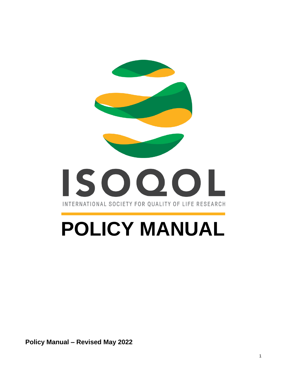

# **POLICY MANUAL**

**Policy Manual – Revised May 2022**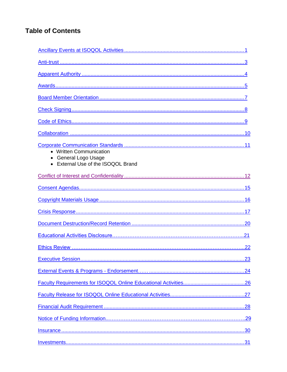# **Table of Contents**

| • Written Communication<br>General Logo Usage<br>• External Use of the ISOQOL Brand |  |
|-------------------------------------------------------------------------------------|--|
|                                                                                     |  |
|                                                                                     |  |
|                                                                                     |  |
|                                                                                     |  |
|                                                                                     |  |
|                                                                                     |  |
|                                                                                     |  |
|                                                                                     |  |
|                                                                                     |  |
|                                                                                     |  |
|                                                                                     |  |
|                                                                                     |  |
|                                                                                     |  |
|                                                                                     |  |
|                                                                                     |  |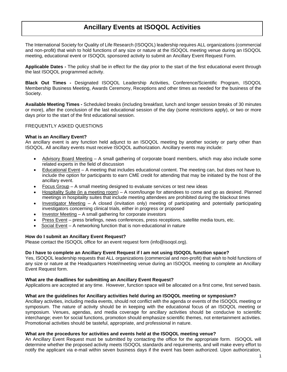# **Ancillary Events at ISOQOL Activities**

<span id="page-3-0"></span>The International Society for Quality of Life Research (ISOQOL) leadership requires ALL organizations (commercial and non-profit) that wish to hold functions of any size or nature at the ISOQOL meeting venue during an ISOQOL meeting, educational event or ISOQOL sponsored activity to submit an Ancillary Event Request Form.

**Applicable Dates -** The policy shall be in effect for the day prior to the start of the first educational event through the last ISOQOL programmed activity.

**Black Out Times -** Designated ISOQOL Leadership Activities, Conference/Scientific Program, ISOQOL Membership Business Meeting, Awards Ceremony, Receptions and other times as needed for the business of the Society.

**Available Meeting Times -** Scheduled breaks (including breakfast, lunch and longer session breaks of 30 minutes or more), after the conclusion of the last educational session of the day (some restrictions apply), or two or more days prior to the start of the first educational session.

#### FREQUENTLY ASKED QUESTIONS

#### **What is an Ancillary Event?**

An ancillary event is any function held adjunct to an ISOQOL meeting by another society or party other than ISOQOL. All ancillary events must receive ISOQOL authorization. Ancillary events may include:

- Advisory Board Meeting A small gathering of corporate board members, which may also include some related experts in the field of discussion
- Educational Event A meeting that includes educational content. The meeting can, but does not have to, include the option for participants to earn CME credit for attending that may be initiated by the host of the ancillary event.
- Focus Group A small meeting designed to evaluate services or test new ideas
- Hospitality Suite (in a meeting room) A room/lounge for attendees to come and go as desired. Planned meetings in hospitality suites that include meeting attendees are prohibited during the blackout times
- Investigator Meeting A closed (invitation only) meeting of participating and potentially participating investigators concerning clinical trials, either in progress or proposed
- Investor Meeting A small gathering for corporate investors
- Press Event press briefings, news conferences, press receptions, satellite media tours, etc.
- Social Event A networking function that is non-educational in nature

#### **How do I submit an Ancillary Event Request?**

Please contact the ISOQOL office for an event request form (info@isoqol.org).

#### **Do I have to complete an Ancillary Event Request if I am not using ISOQOL function space?**

Yes, ISOQOL leadership requests that ALL organizations (commercial and non-profit) that wish to hold functions of any size or nature at the Headquarters Hotel/meeting venue during an ISOQOL meeting to complete an Ancillary Event Request form.

#### **What are the deadlines for submitting an Ancillary Event Request?**

Applications are accepted at any time. However, function space will be allocated on a first come, first served basis.

#### **What are the guidelines for Ancillary activities held during an ISOQOL meeting or symposium?**

Ancillary activities, including media events, should not conflict with the agenda or events of the ISOQOL meeting or symposium. The nature of activity should be in keeping with the educational focus of an ISOQOL meeting or symposium. Venues, agendas, and media coverage for ancillary activities should be conducive to scientific interchange; even for social functions, promotion should emphasize scientific themes, not entertainment activities. Promotional activities should be tasteful, appropriate, and professional in nature.

#### **What are the procedures for activities and events held at the ISOQOL meeting venue?**

An Ancillary Event Request must be submitted by contacting the office for the appropriate form. ISOQOL will determine whether the proposed activity meets ISOQOL standards and requirements, and will make every effort to notify the applicant via e-mail within seven business days if the event has been authorized. Upon authorization,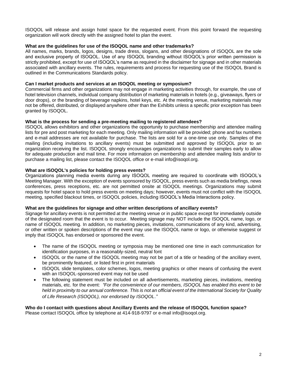ISOQOL will release and assign hotel space for the requested event. From this point forward the requesting organization will work directly with the assigned hotel to plan the event.

#### **What are the guidelines for use of the ISOQOL name and other trademarks?**

All names, marks, brands, logos, designs, trade dress, slogans, and other designations of ISOQOL are the sole and exclusive property of ISOQOL. Use of any ISOQOL branding without ISOQOL's prior written permission is strictly prohibited, except for use of ISOQOL's name as required in the disclaimer for signage and in other materials associated with ancillary events. The rules, requirements and process for requesting use of the ISOQOL Brand is outlined in the Communications Standards policy.

# **Can I market products and services at an ISOQOL meeting or symposium?**

Commercial firms and other organizations may not engage in marketing activities through, for example, the use of hotel television channels, individual company distribution of marketing materials in hotels (e.g., giveaways, flyers or door drops), or the branding of beverage napkins, hotel keys, etc. At the meeting venue, marketing materials may not be offered, distributed, or displayed anywhere other than the Exhibits unless a specific prior exception has been granted by ISOQOL.

# **What is the process for sending a pre-meeting mailing to registered attendees?**

ISOQOL allows exhibitors and other organizations the opportunity to purchase membership and attendee mailing lists for pre and post marketing for each meeting. Only mailing information will be provided; phone and fax numbers and e-mail addresses are not available for purchase. The lists are sold for a one-time use only. Samples of the mailing (including invitations to ancillary events) must be submitted and approved by ISOQOL prior to an organization receiving the list. ISOQOL strongly encourages organizations to submit their samples early to allow for adequate production and mail time. For more information on membership and attendee mailing lists and/or to purchase a mailing list, please contact the ISOQOL office or e-mail info@isoqol.org.

# **What are ISOQOL's policies for holding press events?**

Organizations planning media events during any ISOQOL meeting are required to coordinate with ISOQOL's Meeting Manager. With the exception of events sponsored by ISOQOL, press events such as media briefings, news conferences, press receptions, etc. are not permitted onsite at ISOQOL meetings. Organizations may submit requests for hotel space to hold press events on meeting days; however, events must not conflict with the ISOQOL meeting, specified blackout times, or ISOQOL policies, including ISOQOL's Media Interactions policy.

#### **What are the guidelines for signage and other written descriptions of ancillary events?**

Signage for ancillary events is not permitted at the meeting venue or in public space except for immediately outside of the designated room that the event is to occur. Meeting signage may NOT include the ISOQOL name, logo, or name of ISOQOL meeting. In addition, no marketing pieces, invitations, communications of any kind, advertising, or other written or spoken descriptions of the event may use the ISOQOL name or logo, or otherwise suggest or imply that ISOQOL has endorsed or sponsored the event.

- The name of the ISOQOL meeting or symposia may be mentioned one time in each communication for identification purposes, in a reasonably-sized, neutral font
- ISOQOL or the name of the ISOQOL meeting may not be part of a title or heading of the ancillary event, be prominently featured, or listed first in print materials
- ISOQOL slide templates, color schemes, logos, meeting graphics or other means of confusing the event with an ISOQOL-sponsored event may not be used
- The following statement must be included on all advertisements, marketing pieces, invitations, meeting materials, etc. for the event: *"For the convenience of our members, ISOQOL has enabled this event to be held in proximity to our annual conference. This is not an official event of the International Society for Quality of Life Research (ISOQOL), nor endorsed by ISOQOL*.*"*

**Who do I contact with questions about Ancillary Events and the release of ISOQOL function space?** Please contact ISOQOL office by telephone at 414-918-9797 or e-mail info@isoqol.org.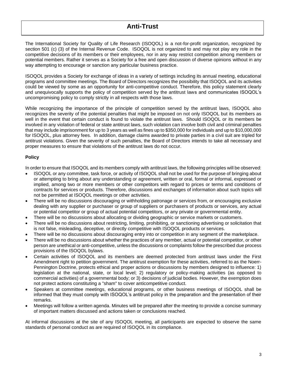# **Anti-Trust**

<span id="page-5-0"></span>The International Society for Quality of Life Research (ISOQOL) is a not-for-profit organization, recognized by section 501 (c) (3) of the Internal Revenue Code. ISOQOL is not organized to and may not play any role in the competitive decisions of its members or their employees, nor in any way restrict competition among members or potential members. Rather it serves as a Society for a free and open discussion of diverse opinions without in any way attempting to encourage or sanction any particular business practice.

ISOQOL provides a Society for exchange of ideas in a variety of settings including its annual meeting, educational programs and committee meetings. The Board of Directors recognizes the possibility that ISOQOL and its activities could be viewed by some as an opportunity for anti-competitive conduct. Therefore, this policy statement clearly and unequivocally supports the policy of competition served by the antitrust laws and communicates ISOQOL's uncompromising policy to comply strictly in all respects with those laws.

While recognizing the importance of the principle of competition served by the antitrust laws, ISOQOL also recognizes the severity of the potential penalties that might be imposed on not only ISOQOL but its members as well in the event that certain conduct is found to violate the antitrust laws. Should ISOQOL or its members be involved in any violation of federal or state antitrust laws, such violation can involve both civil and criminal penalties that may include imprisonment for up to 3 years as well as fines up to \$350,000 for individuals and up to \$10,000,000 for ISOQOL, plus attorney fees. In addition, damage claims awarded to private parties in a civil suit are tripled for antitrust violations. Given the severity of such penalties, the Board of Directors intends to take all necessary and proper measures to ensure that violations of the antitrust laws do not occur.

# **Policy**

In order to ensure that ISOQOL and its members comply with antitrust laws, the following principles will be observed:

- ISOQOL or any committee, task force, or activity of ISOQOL shall not be used for the purpose of bringing about or attempting to bring about any understanding or agreement, written or oral, formal or informal, expressed or implied, among two or more members or other competitors with regard to prices or terms and conditions of contracts for services or products. Therefore, discussions and exchanges of information about such topics will not be permitted at ISOQOL meetings or other activities.
- There will be no discussions discouraging or withholding patronage or services from, or encouraging exclusive dealing with any supplier or purchaser or group of suppliers or purchasers of products or services, any actual or potential competitor or group of actual potential competitors, or any private or governmental entity.
- There will be no discussions about allocating or dividing geographic or service markets or customers.
- There will be no discussions about restricting, limiting, prohibiting, or sanctioning advertising or solicitation that is not false, misleading, deceptive, or directly competitive with ISOQOL products or services.
- There will be no discussions about discouraging entry into or competition in any segment of the marketplace.
- There will be no discussions about whether the practices of any member, actual or potential competitor, or other person are unethical or anti-competitive, unless the discussions or complaints follow the prescribed due process provisions of the ISOQOL bylaws.
- Certain activities of ISOQOL and its members are deemed protected from antitrust laws under the First Amendment right to petition government. The antitrust exemption for these activities, referred to as the Noerr-Pennington Doctrine, protects ethical and proper actions or discussions by members designed to influence: 1) legislation at the national, state, or local level; 2) regulatory or policy-making activities (as opposed to commercial activities) of a governmental body; or 3) decisions of judicial bodies. However, the exemption does not protect actions constituting a "sham" to cover anticompetitive conduct.
- Speakers at committee meetings, educational programs, or other business meetings of ISOQOL shall be informed that they must comply with ISOQOL's antitrust policy in the preparation and the presentation of their remarks.
- Meetings will follow a written agenda. Minutes will be prepared after the meeting to provide a concise summary of important matters discussed and actions taken or conclusions reached.

At informal discussions at the site of any ISOQOL meeting, all participants are expected to observe the same standards of personal conduct as are required of ISOQOL in its compliance.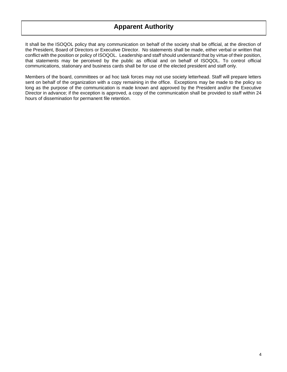# **Apparent Authority**

<span id="page-6-0"></span>It shall be the ISOQOL policy that any communication on behalf of the society shall be official, at the direction of the President, Board of Directors or Executive Director. No statements shall be made, either verbal or written that conflict with the position or policy of ISOQOL. Leadership and staff should understand that by virtue of their position, that statements may be perceived by the public as official and on behalf of ISOQOL. To control official communications, stationary and business cards shall be for use of the elected president and staff only.

Members of the board, committees or ad hoc task forces may not use society letterhead. Staff will prepare letters sent on behalf of the organization with a copy remaining in the office. Exceptions may be made to the policy so long as the purpose of the communication is made known and approved by the President and/or the Executive Director in advance; if the exception is approved, a copy of the communication shall be provided to staff within 24 hours of dissemination for permanent file retention.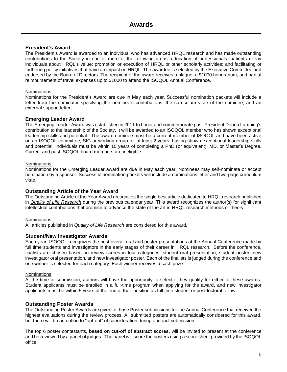# <span id="page-7-0"></span>**President's Award**

The President's Award is awarded to an individual who has advanced HRQL research and has made outstanding contributions to the Society in one or more of the following areas: education of professionals, patients or lay individuals about HRQL's value; promotion or execution of HRQL or other scholarly activities; and facilitating or furthering policy initiatives that have an impact on HRQL. The awardee is selected by the Executive Committee and endorsed by the Board of Directors. The recipient of the award receives a plaque, a \$1000 honorarium, and partial reimbursement of travel expenses up to \$1000 to attend the ISOQOL Annual Conference.

# **Nominations**

Nominations for the President's Award are due in May each year. Successful nomination packets will include a letter from the nominator specifying the nominee's contributions, the curriculum vitae of the nominee, and an external support letter.

# **Emerging Leader Award**

The Emerging Leader Award was established in 2011 to honor and commemorate past-President Donna Lamping's contribution to the leadership of the Society. It will be awarded to an ISOQOL member who has shown exceptional leadership skills and potential. The award nominee must be a current member of ISOQOL and have been active on an ISOQOL committee, SIG or working group for at least 2 years, having shown exceptional leadership skills and potential. Individuals must be within 10 years of completing a PhD (or equivalent), MD, or Master's Degree. Current and past ISOQOL board members are ineligible.

# **Nominations**

Nominations for the Emerging Leader award are due in May each year. Nominees may self-nominate or accept nomination by a sponsor. Successful nomination packets will include a nominations letter and two-page curriculum vitae.

# **Outstanding Article of the Year Award**

The Outstanding Article of the Year Award recognizes the single best article dedicated to HRQL research published in *[Quality of Life Research](http://www.isoqol.org/research/quality-of-life-research)* during the previous calendar year. This award recognizes the author(s) for significant intellectual contributions that promise to advance the state of the art in HRQL research methods or theory.

#### **Nominations**

All articles published in *Quality of Life Research* are considered for this award.

# **Student/New Investigator Awards**

Each year, ISOQOL recognizes the best overall oral and poster presentations at the Annual Conference made by full time students and investigators in the early stages of their career in HRQL research. Before the conference, finalists are chosen based on review scores in four categories: student oral presentation, student poster, new investigator oral presentation, and new investigator poster. Each of the finalists is judged during the conference and one winner is selected for each category. Each winner receives a cash prize.

#### **Nominations**

At the time of submission, authors will have the opportunity to select if they qualify for either of these awards. Student applicants must be enrolled in a full-time program when applying for the award, and new investigator applicants must be within 5 years of the end of their position as full time student or postdoctoral fellow.

# **Outstanding Poster Awards**

The Outstanding Poster Awards are given to those Poster submissions for the Annual Conference that received the highest evaluations during the review process. All submitted posters are automatically considered for this award, but there will be an option to "opt-out" of consideration during abstract submission.

The top 6 poster contestants, **based on cut-off of abstract scores**, will be invited to present at the conference and be reviewed by a panel of judges. The panel will score the posters using a score sheet provided by the ISOQOL office.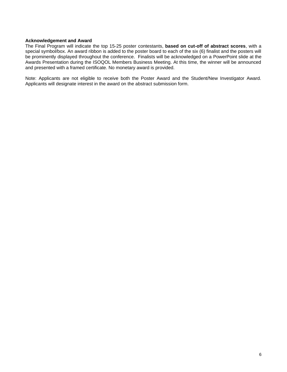#### **Acknowledgement and Award**

The Final Program will indicate the top 15-25 poster contestants, **based on cut-off of abstract scores**, with a special symbol/box. An award ribbon is added to the poster board to each of the six (6) finalist and the posters will be prominently displayed throughout the conference. Finalists will be acknowledged on a PowerPoint slide at the Awards Presentation during the ISOQOL Members Business Meeting. At this time, the winner will be announced and presented with a framed certificate. No monetary award is provided.

Note: Applicants are not eligible to receive both the Poster Award and the Student/New Investigator Award. Applicants will designate interest in the award on the abstract submission form.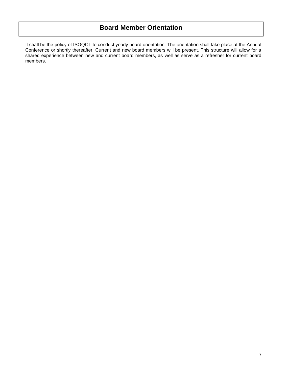# <span id="page-9-0"></span>**Board Member Orientation**

It shall be the policy of ISOQOL to conduct yearly board orientation. The orientation shall take place at the Annual Conference or shortly thereafter. Current and new board members will be present. This structure will allow for a shared experience between new and current board members, as well as serve as a refresher for current board members.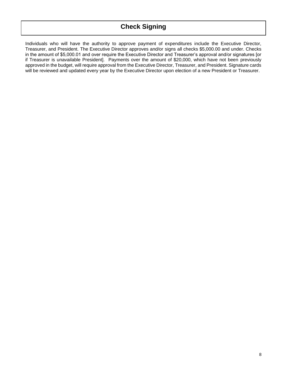# **Check Signing**

<span id="page-10-0"></span>Individuals who will have the authority to approve payment of expenditures include the Executive Director, Treasurer, and President. The Executive Director approves and/or signs all checks \$5,000.00 and under. Checks in the amount of \$5,000.01 and over require the Executive Director and Treasurer's approval and/or signatures [or if Treasurer is unavailable President]. Payments over the amount of \$20,000, which have not been previously approved in the budget, will require approval from the Executive Director, Treasurer, and President. Signature cards will be reviewed and updated every year by the Executive Director upon election of a new President or Treasurer.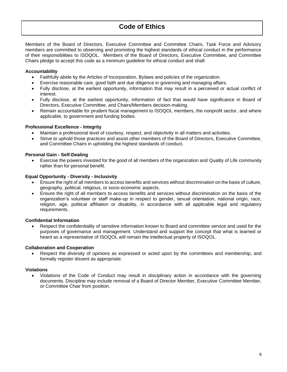# <span id="page-11-0"></span>**Code of Ethics**

Members of the Board of Directors, Executive Committee and Committee Chairs, Task Force and Advisory members are committed to observing and promoting the highest standards of ethical conduct in the performance of their responsibilities to ISOQOL. Members of the Board of Directors, Executive Committee, and Committee Chairs pledge to accept this code as a minimum guideline for ethical conduct and shall:

# **Accountability**

- Faithfully abide by the Articles of Incorporation, Bylaws and policies of the organization.
- Exercise reasonable care, good faith and due diligence in governing and managing affairs.
- Fully disclose, at the earliest opportunity, information that may result in a perceived or actual conflict of interest.
- Fully disclose, at the earliest opportunity, information of fact that would have significance in Board of Directors, Executive Committee, and Chairs/Members decision-making.
- Remain accountable for prudent fiscal management to ISOQOL members, the nonprofit sector, and where applicable, to government and funding bodies.

# **Professional Excellence - Integrity**

- Maintain a professional level of courtesy, respect, and objectivity in all matters and activities.
- Strive to uphold those practices and assist other members of the Board of Directors, Executive Committee, and Committee Chairs in upholding the highest standards of conduct.

#### **Personal Gain - Self-Dealing**

• Exercise the powers invested for the good of all members of the organization and Quality of Life community rather than for personal benefit.

#### **Equal Opportunity - Diversity - Inclusivity**

- Ensure the right of all members to access benefits and services without discrimination on the basis of culture, geography, political, religious, or socio-economic aspects.
- Ensure the right of all members to access benefits and services without discrimination on the basis of the organization's volunteer or staff make-up in respect to gender, sexual orientation, national origin, race, religion, age, political affiliation or disability, in accordance with all applicable legal and regulatory requirements.

#### **Confidential Information**

• Respect the confidentiality of sensitive information known to Board and committee service and used for the purposes of governance and management. Understand and support the concept that what is learned or heard as a representative of ISOQOL will remain the intellectual property of ISOQOL.

#### **Collaboration and Cooperation**

Respect the diversity of opinions as expressed or acted upon by the committees and membership, and formally register dissent as appropriate.

#### **Violations**

• Violations of the Code of Conduct may result in disciplinary action in accordance with the governing documents. Discipline may include removal of a Board of Director Member, Executive Committee Member, or Committee Chair from position.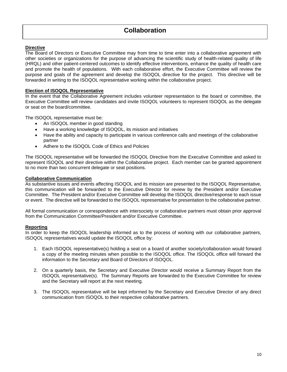# <span id="page-12-0"></span>**Directive**

The Board of Directors or Executive Committee may from time to time enter into a collaborative agreement with other societies or organizations for the purpose of advancing the scientific study of health-related quality of life (HRQL) and other patient-centered outcomes to identify effective interventions, enhance the quality of health care and promote the health of populations. With each collaborative effort, the Executive Committee will review the purpose and goals of the agreement and develop the ISOQOL directive for the project. This directive will be forwarded in writing to the ISOQOL representative working within the collaborative project.

# **Election of ISOQOL Representative**

In the event that the Collaborative Agreement includes volunteer representation to the board or committee, the Executive Committee will review candidates and invite ISOQOL volunteers to represent ISOQOL as the delegate or seat on the board/committee.

The ISOQOL representative must be:

- An ISOQOL member in good standing
- Have a working knowledge of ISOQOL, its mission and initiatives
- Have the ability and capacity to participate in various conference calls and meetings of the collaborative partner
- Adhere to the ISOQOL Code of Ethics and Policies

The ISOQOL representative will be forwarded the ISOQOL Directive from the Executive Committee and asked to represent ISOQOL and their directive within the Collaborative project. Each member can be granted appointment to no more than two concurrent delegate or seat positions.

# **Collaborative Communication**

As substantive issues and events affecting ISOQOL and its mission are presented to the ISOQOL Representative, this communication will be forwarded to the Executive Director for review by the President and/or Executive Committee. The President and/or Executive Committee will develop the ISOQOL directive/response to each issue or event. The directive will be forwarded to the ISOQOL representative for presentation to the collaborative partner.

All formal communication or correspondence with intersociety or collaborative partners must obtain prior approval from the Communication Committee/President and/or Executive Committee.

#### **Reporting**

In order to keep the ISOQOL leadership informed as to the process of working with our collaborative partners, ISOQOL representatives would update the ISOQOL office by:

- 1. Each ISOQOL representative(s) holding a seat on a board of another society/collaboration would forward a copy of the meeting minutes when possible to the ISOQOL office. The ISOQOL office will forward the information to the Secretary and Board of Directors of ISOQOL.
- 2. On a quarterly basis, the Secretary and Executive Director would receive a Summary Report from the ISOQOL representative(s). The Summary Reports are forwarded to the Executive Committee for review and the Secretary will report at the next meeting.
- 3. The ISOQOL representative will be kept informed by the Secretary and Executive Director of any direct communication from ISOQOL to their respective collaborative partners.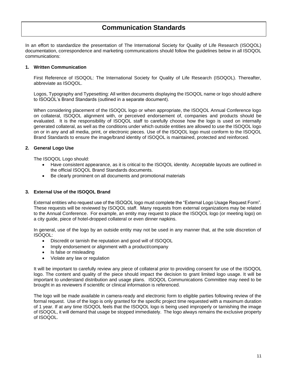# **Communication Standards**

<span id="page-13-0"></span>In an effort to standardize the presentation of The International Society for Quality of Life Research (ISOQOL) documentation, correspondence and marketing communications should follow the guidelines below in all ISOQOL communications:

#### **1. Written Communication**

First Reference of ISOQOL: The International Society for Quality of Life Research (ISOQOL). Thereafter, abbreviate as ISOQOL.

Logos, Typography and Typesetting: All written documents displaying the ISOQOL name or logo should adhere to ISOQOL's Brand Standards (outlined in a separate document).

When considering placement of the ISOQOL logo or when appropriate, the ISOQOL Annual Conference logo on collateral, ISOQOL alignment with, or perceived endorsement of, companies and products should be evaluated. It is the responsibility of ISOQOL staff to carefully choose how the logo is used on internally generated collateral, as well as the conditions under which outside entities are allowed to use the ISOQOL logo on or in any and all media, print, or electronic pieces. Use of the ISOQOL logo must conform to the ISOQOL Brand Standards to ensure the image/brand identity of ISOQOL is maintained, protected and reinforced.

# **2. General Logo Use**

The ISOQOL Logo should:

- Have consistent appearance, as it is critical to the ISOQOL identity. Acceptable layouts are outlined in the official ISOQOL Brand Standards documents.
- Be clearly prominent on all documents and promotional materials

#### **3. External Use of the ISOQOL Brand**

External entities who request use of the ISOQOL logo must complete the "External Logo Usage Request Form". These requests will be reviewed by ISOQOL staff. Many requests from external organizations may be related to the Annual Conference. For example, an entity may request to place the ISOQOL logo (or meeting logo) on a city guide, piece of hotel-dropped collateral or even dinner napkins.

In general, use of the logo by an outside entity may not be used in any manner that, at the sole discretion of ISOQOL:

- Discredit or tarnish the reputation and good will of ISOQOL
- Imply endorsement or alignment with a product/company
- Is false or misleading
- Violate any law or regulation

It will be important to carefully review any piece of collateral prior to providing consent for use of the ISOQOL logo. The content and quality of the piece should impact the decision to grant limited logo usage. It will be important to understand distribution and usage plans. ISOQOL Communications Committee may need to be brought in as reviewers if scientific or clinical information is referenced.

The logo will be made available in camera-ready and electronic form to eligible parties following review of the formal request. Use of the logo is only granted for the specific project time requested with a maximum duration of 1 year. If at any time ISOQOL feels that the ISOQOL logo is being used improperly or tarnishing the image of ISOQOL, it will demand that usage be stopped immediately. The logo always remains the exclusive property of ISOQOL.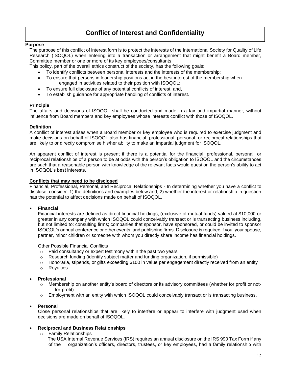# <span id="page-14-0"></span>**Conflict of Interest and Confidentiality**

#### **Purpose**

The purpose of this conflict of interest form is to protect the interests of the International Society for Quality of Life Research (ISOQOL) when entering into a transaction or arrangement that might benefit a Board member, Committee member or one or more of its key employees/consultants.

This policy, part of the overall ethics construct of the society, has the following goals:

- To identify conflicts between personal interests and the interests of the membership;
- To ensure that persons in leadership positions act in the best interest of the membership when engaged in activities related to their position with ISOQOL;
- To ensure full disclosure of any potential conflicts of interest; and,
- To establish guidance for appropriate handling of conflicts of interest.

# **Principle**

The affairs and decisions of ISOQOL shall be conducted and made in a fair and impartial manner, without influence from Board members and key employees whose interests conflict with those of ISOQOL.

# **Definition**

A conflict of interest arises when a Board member or key employee who is required to exercise judgment and make decisions on behalf of ISOQOL also has financial, professional, personal, or reciprocal relationships that are likely to or directly compromise his/her ability to make an impartial judgment for ISOQOL.

An apparent conflict of interest is present if there is a potential for the financial, professional, personal, or reciprocal relationships of a person to be at odds with the person's obligation to ISOQOL and the circumstances are such that a reasonable person with knowledge of the relevant facts would question the person's ability to act in ISOQOL's best interests.

# **Conflicts that may need to be disclosed**

Financial, Professional, Personal, and Reciprocal Relationships - In determining whether you have a conflict to disclose, consider: 1) the definitions and examples below and; 2) whether the interest or relationship in question has the potential to affect decisions made on behalf of ISOQOL.

# • **Financial**

Financial interests are defined as direct financial holdings, (exclusive of mutual funds) valued at \$10,000 or greater in any company with which ISOQOL could conceivably transact or is transacting business including, but not limited to: consulting firms; companies that sponsor, have sponsored, or could be invited to sponsor ISOQOL's annual conference or other events; and publishing firms. Disclosure is required if you, your spouse, partner, minor children or someone with whom you directly share income has financial holdings.

Other Possible Financial Conflicts

- o Paid consultancy or expert testimony within the past two years
- $\circ$  Research funding (identify subject matter and funding organization, if permissible)
- $\circ$  Honoraria, stipends, or gifts exceeding \$100 in value per engagement directly received from an entity
- o Royalties

# • **Professional**

- o Membership on another entity's board of directors or its advisory committees (whether for profit or notfor-profit).
- $\circ$  Employment with an entity with which ISOQOL could conceivably transact or is transacting business.

#### • **Personal**

Close personal relationships that are likely to interfere or appear to interfere with judgment used when decisions are made on behalf of ISOQOL.

# • **Reciprocal and Business Relationships**

o Family Relationships

The USA Internal Revenue Services (IRS) requires an annual disclosure on the IRS 990 Tax Form if any of the organization's officers, directors, trustees, or key employees, had a family relationship with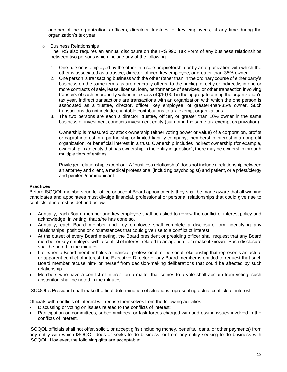another of the organization's officers, directors, trustees, or key employees, at any time during the organization's tax year.

o Business Relationships

The IRS also requires an annual disclosure on the IRS 990 Tax Form of any business relationships between two persons which include any of the following:

- 1. One person is employed by the other in a sole proprietorship or by an organization with which the other is associated as a trustee, director, officer, key employee, or greater-than-35% owner.
- 2. One person is transacting business with the other (other than in the ordinary course of either party's business on the same terms as are generally offered to the public), directly or indirectly, in one or more contracts of sale, lease, license, loan, performance of services, or other transaction involving transfers of cash or property valued in excess of \$10,000 in the aggregate during the organization's tax year. Indirect transactions are transactions with an organization with which the one person is associated as a trustee, director, officer, key employee, or greater-than-35% owner. Such transactions do not include charitable contributions to tax-exempt organizations.
- 3. The two persons are each a director, trustee, officer, or greater than 10% owner in the same business or investment conducts investment entity (but not in the same tax-exempt organization).

Ownership is measured by stock ownership (either voting power or value) of a corporation, profits or capital interest in a partnership or limited liability company, membership interest in a nonprofit organization, or beneficial interest in a trust. Ownership includes indirect ownership (for example, ownership in an entity that has ownership in the entity in question); there may be ownership through multiple tiers of entities.

Privileged relationship exception: A "business relationship" does not include a relationship between an attorney and client, a medical professional (including psychologist) and patient, or a priest/clergy and penitent/communicant.

# **Practices**

Before ISOQOL members run for office or accept Board appointments they shall be made aware that all winning candidates and appointees must divulge financial, professional or personal relationships that could give rise to conflicts of interest as defined below.

- Annually, each Board member and key employee shall be asked to review the conflict of interest policy and acknowledge, in writing, that s/he has done so.
- Annually, each Board member and key employee shall complete a disclosure form identifying any relationships, positions or circumstances that could give rise to a conflict of interest.
- At the outset of every Board meeting, the Board president or presiding officer shall request that any Board member or key employee with a conflict of interest related to an agenda item make it known. Such disclosure shall be noted in the minutes.
- If or when a Board member holds a financial, professional, or personal relationship that represents an actual or apparent conflict of interest, the Executive Director or any Board member is entitled to request that such Board member recuse him- or herself from decision-making deliberations that could be affected by such relationship.
- Members who have a conflict of interest on a matter that comes to a vote shall abstain from voting; such abstention shall be noted in the minutes.

ISOQOL's President shall make the final determination of situations representing actual conflicts of interest.

Officials with conflicts of interest will recuse themselves from the following activities:

- Discussing or voting on issues related to the conflicts of interest;
- Participation on committees, subcommittees, or task forces charged with addressing issues involved in the conflicts of interest.

ISOQOL officials shall not offer, solicit, or accept gifts (including money, benefits, loans, or other payments) from any entity with which ISOQOL does or seeks to do business, or from any entity seeking to do business with ISOQOL. However, the following gifts are acceptable: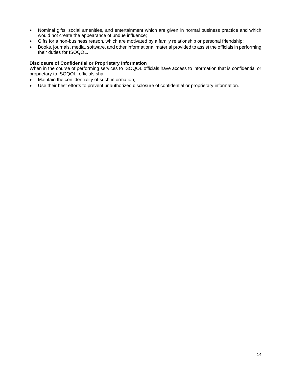- Nominal gifts, social amenities, and entertainment which are given in normal business practice and which would not create the appearance of undue influence;
- Gifts for a non-business reason, which are motivated by a family relationship or personal friendship;
- Books, journals, media, software, and other informational material provided to assist the officials in performing their duties for ISOQOL.

# **Disclosure of Confidential or Proprietary Information**

When in the course of performing services to ISOQOL officials have access to information that is confidential or proprietary to ISOQOL, officials shall

- Maintain the confidentiality of such information;
- Use their best efforts to prevent unauthorized disclosure of confidential or proprietary information.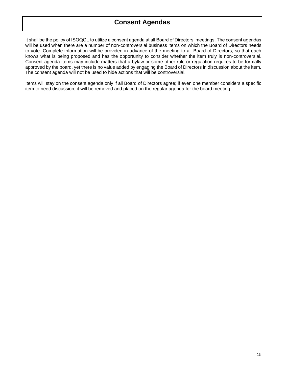# <span id="page-17-0"></span>**Consent Agendas**

It shall be the policy of ISOQOL to utilize a consent agenda at all Board of Directors' meetings. The consent agendas will be used when there are a number of non-controversial business items on which the Board of Directors needs to vote. Complete information will be provided in advance of the meeting to all Board of Directors, so that each knows what is being proposed and has the opportunity to consider whether the item truly is non-controversial. Consent agenda items may include matters that a bylaw or some other rule or regulation requires to be formally approved by the board, yet there is no value added by engaging the Board of Directors in discussion about the item. The consent agenda will not be used to hide actions that will be controversial.

Items will stay on the consent agenda only if all Board of Directors agree; if even one member considers a specific item to need discussion, it will be removed and placed on the regular agenda for the board meeting.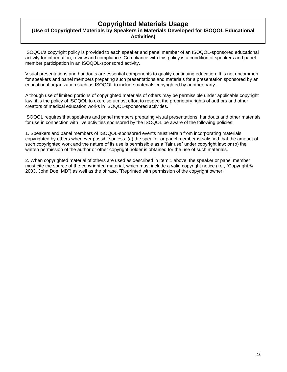# <span id="page-18-0"></span>**Copyrighted Materials Usage (Use of Copyrighted Materials by Speakers in Materials Developed for ISOQOL Educational Activities)**

ISOQOL's copyright policy is provided to each speaker and panel member of an ISOQOL-sponsored educational activity for information, review and compliance. Compliance with this policy is a condition of speakers and panel member participation in an ISOQOL-sponsored activity.

Visual presentations and handouts are essential components to quality continuing education. It is not uncommon for speakers and panel members preparing such presentations and materials for a presentation sponsored by an educational organization such as ISOQOL to include materials copyrighted by another party.

Although use of limited portions of copyrighted materials of others may be permissible under applicable copyright law, it is the policy of ISOQOL to exercise utmost effort to respect the proprietary rights of authors and other creators of medical education works in ISOQOL-sponsored activities.

ISOQOL requires that speakers and panel members preparing visual presentations, handouts and other materials for use in connection with live activities sponsored by the ISOQOL be aware of the following policies:

1. Speakers and panel members of ISOQOL-sponsored events must refrain from incorporating materials copyrighted by others whenever possible unless: (a) the speaker or panel member is satisfied that the amount of such copyrighted work and the nature of its use is permissible as a "fair use" under copyright law; or (b) the written permission of the author or other copyright holder is obtained for the use of such materials.

2. When copyrighted material of others are used as described in Item 1 above, the speaker or panel member must cite the source of the copyrighted material, which must include a valid copyright notice (i.e., "Copyright © 2003. John Doe, MD") as well as the phrase, "Reprinted with permission of the copyright owner."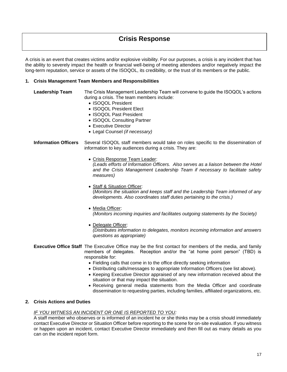# <span id="page-19-0"></span>**Crisis Response**

A crisis is an event that creates victims and/or explosive visibility. For our purposes, a crisis is any incident that has the ability to severely impact the health or financial well-being of meeting attendees and/or negatively impact the long-term reputation, service or assets of the ISOQOL, its credibility, or the trust of its members or the public.

# **1. Crisis Management Team Members and Responsibilities**

- **Leadership Team** The Crisis Management Leadership Team will convene to guide the ISOQOL's actions during a crisis. The team members include:
	- ISOQOL President
	- ISOQOL President Elect
	- ISOQOL Past President
	- ISOQOL Consulting Partner
	- Executive Director
	- Legal Counsel *(if necessary)*

**Information Officers** Several ISOQOL staff members would take on roles specific to the dissemination of information to key audiences during a crisis. They are:

• Crisis Response Team Leader:

*(Leads efforts of Information Officers. Also serves as a liaison between the Hotel and the Crisis Management Leadership Team if necessary to facilitate safety measures)*

- Staff & Situation Officer: (*Monitors the situation and keeps staff and the Leadership Team informed of any developments. Also coordinates staff duties pertaining to the crisis.)*
- Media Officer: *(Monitors incoming inquiries and facilitates outgoing statements by the Society)*
- Delegate Officer: *(Distributes information to delegates, monitors incoming information and answers questions as appropriate)*
- **Executive Office Staff** The Executive Office may be the first contact for members of the media, and family members of delegates. Reception and/or the "at home point person" (TBD) is responsible for:
	- Fielding calls that come in to the office directly seeking information
	- Distributing calls/messages to appropriate Information Officers (see list above).
	- Keeping Executive Director appraised of any new information received about the situation or that may impact the situation.
	- Receiving general media statements from the Media Officer and coordinate dissemination to requesting parties, including families, affiliated organizations, etc.

#### **2. Crisis Actions and Duties**

#### *IF YOU WITNESS AN INCIDENT OR ONE IS REPORTED TO YOU:*

A staff member who observes or is informed of an incident he or she thinks may be a crisis should immediately contact Executive Director or Situation Officer before reporting to the scene for on-site evaluation. If you witness or happen upon an incident, contact Executive Director immediately and then fill out as many details as you can on the incident report form.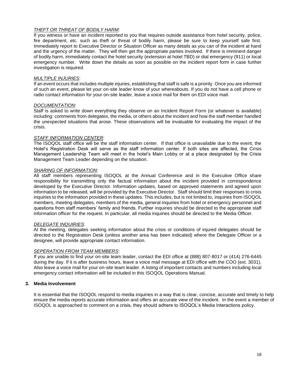# *THEFT OR THREAT OF BODILY HARM:*

If you witness or have an incident reported to you that requires outside assistance from hotel security, police, fire department, etc. such as theft or threat of bodily harm, please be sure to keep yourself safe first. Immediately report to Executive Director or Situation Officer as many details as you can of the incident at hand and the urgency of the matter. They will then get the appropriate parties involved. If there is imminent danger of bodily harm, immediately contact the hotel security (extension at hotel TBD) or dial emergency (911) or local emergency number. Write down the details as soon as possible on the incident report form in case further investigation is required.

#### *MULTIPLE INJURIES*:

If an event occurs that includes multiple injuries, establishing that staff is safe is a priority. Once you are informed of such an event, please let your on-site leader know of your whereabouts. If you do not have a cell phone or radio contact information for your on-site leader, leave a voice mail for them on EDI voice mail.

# *DOCUMENTATION*:

Staff is asked to write down everything they observe on an Incident Report Form (or whatever is available) including: comments from delegates, the media, or others about the incident and how the staff member handled the unexpected situations that arose. These observations will be invaluable for evaluating the impact of the crisis.

# *STAFF INFORMATION CENTER*:

The ISOQOL staff office will be the staff information center. If that office is unavailable due to the event, the Hotel's Registration Desk will serve as the staff information center. If both sites are affected, the Crisis Management Leadership Team will meet in the hotel's Main Lobby or at a place designated by the Crisis Management Team Leader depending on the situation.

# *SHARING OF INFORMATION*:

All staff members representing ISOQOL at the Annual Conference and in the Executive Office share responsibility for transmitting only the factual information about the incident provided in correspondence developed by the Executive Director. Information updates, based on approved statements and agreed upon information to be released, will be provided by the Executive Director. Staff should limit their responses to crisis inquiries to the information provided in these updates. This includes, but is not limited to, inquiries from ISOQOL members, meeting delegates, members of the media, general inquiries from hotel or emergency personnel and questions from staff members' family and friends. Further inquiries should be directed to the appropriate staff information officer for the request. In particular, all media inquiries should be directed to the Media Officer.

#### *DELEGATE INQUIRIES*:

At the meeting, delegates seeking information about the crisis or conditions of injured delegates should be directed to the Registration Desk (unless another area has been indicated) where the Delegate Officer or a designee, will provide appropriate contact information.

#### *SEPERATION FROM TEAM MEMBERS*:

If you are unable to find your on-site team leader, contact the EDI office at (888) 807-8017 or (414) 276-6445 during the day. If it is after business hours, leave a voice mail message at EDI office with the COO (ext. 3031). Also leave a voice mail for your on-site team leader. A listing of important contacts and numbers including local emergency contact information will be included in this ISOQOL Operations Manual.

#### **3. Media Involvement**

It is essential that the ISOQOL respond to media inquiries in a way that is clear, concise, accurate and timely to help ensure the media reports accurate information and offers an accurate view of the incident. In the event a member of ISOQOL is approached to comment on a crisis, they should adhere to ISOQOL's Media Interactions policy.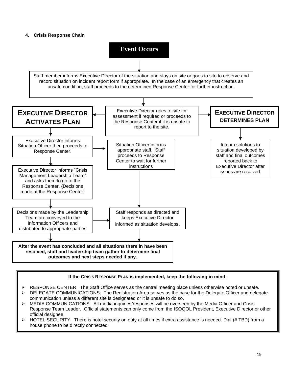# **4. Crisis Response Chain**



# **If the CRISIS RESPONSE PLAN is implemented, keep the following in mind:**

- ➢ RESPONSE CENTER: The Staff Office serves as the central meeting place unless otherwise noted or unsafe.
- ➢ DELEGATE COMMUNICATIONS: The Registration Area serves as the base for the Delegate Officer and delegate communication unless a different site is designated or it is unsafe to do so.
- ➢ MEDIA COMMUNICATIONS: All media inquiries/responses will be overseen by the Media Officer and Crisis Response Team Leader. Official statements can only come from the ISOQOL President, Executive Director or other official designee.
- HOTEL SECURITY: There is hotel security on duty at all times if extra assistance is needed. Dial (# TBD) from a house phone to be directly connected.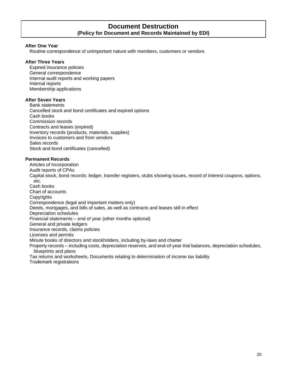# **Document Destruction (Policy for Document and Records Maintained by EDI)**

#### <span id="page-22-0"></span>**After One Year**

Routine correspondence of unimportant nature with members, customers or vendors

#### **After Three Years**

Expired insurance policies General correspondence Internal audit reports and working papers Internal reports Membership applications

# **After Seven Years**

Bank statements Cancelled stock and bond certificates and expired options Cash books Commission records Contracts and leases (expired) Inventory records (products, materials, supplies) Invoices to customers and from vendors Sales records Stock and bond certificates (cancelled)

# **Permanent Records**

Articles of Incorporation Audit reports of CPAs

Capital stock, bond records: ledger, transfer registers, stubs showing issues, record of interest coupons, options, etc.

Cash books Chart of accounts **Copyrights** Correspondence (legal and important matters only) Deeds, mortgages, and bills of sales, as well as contracts and leases still in effect Depreciation schedules Financial statements – end of year (other months optional) General and private ledgers Insurance records, claims policies Licenses and permits Minute books of directors and stockholders, including by-laws and charter Property records – including costs, depreciation reserves, and end-of-year trial balances, depreciation schedules, blueprints and plans

Tax returns and worksheets, Documents relating to determination of income tax liability

Trademark registrations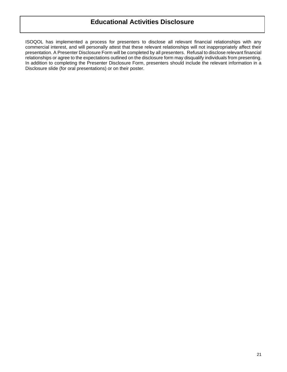# <span id="page-23-0"></span>**Educational Activities Disclosure**

ISOQOL has implemented a process for presenters to disclose all relevant financial relationships with any commercial interest, and will personally attest that these relevant relationships will not inappropriately affect their presentation. A Presenter Disclosure Form will be completed by all presenters. Refusal to disclose relevant financial relationships or agree to the expectations outlined on the disclosure form may disqualify individuals from presenting. In addition to completing the Presenter Disclosure Form, presenters should include the relevant information in a Disclosure slide (for oral presentations) or on their poster.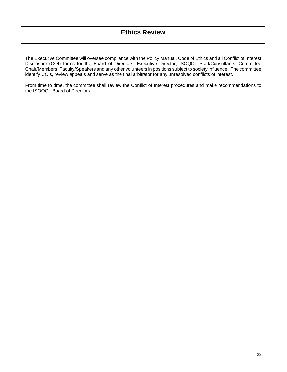<span id="page-24-0"></span>The Executive Committee will oversee compliance with the Policy Manual, Code of Ethics and all Conflict of Interest Disclosure (COI) forms for the Board of Directors, Executive Director, ISOQOL Staff/Consultants, Committee Chair/Members, Faculty/Speakers and any other volunteers in positions subject to society influence. The committee identify COIs, review appeals and serve as the final arbitrator for any unresolved conflicts of interest.

From time to time, the committee shall review the Conflict of Interest procedures and make recommendations to the ISOQOL Board of Directors.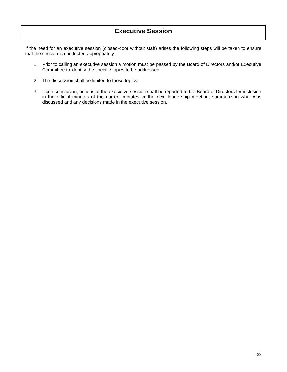# <span id="page-25-0"></span>**Executive Session**

If the need for an executive session (closed-door without staff) arises the following steps will be taken to ensure that the session is conducted appropriately.

- 1. Prior to calling an executive session a motion must be passed by the Board of Directors and/or Executive Committee to identify the specific topics to be addressed.
- 2. The discussion shall be limited to those topics.
- 3. Upon conclusion, actions of the executive session shall be reported to the Board of Directors for inclusion in the official minutes of the current minutes or the next leadership meeting, summarizing what was discussed and any decisions made in the executive session.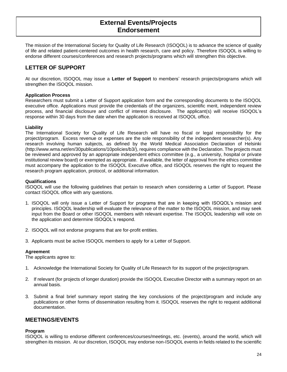# <span id="page-26-0"></span>**External Events/Projects Endorsement**

The mission of the International Society for Quality of Life Research (ISOQOL) is to advance the science of quality of life and related patient-centered outcomes in health research, care and policy. Therefore ISOQOL is willing to endorse different courses/conferences and research projects/programs which will strengthen this objective.

# **LETTER OF SUPPORT**

At our discretion, ISOQOL may issue a **Letter of Support** to members' research projects/programs which will strengthen the ISOQOL mission.

## **Application Process**

Researchers must submit a Letter of Support application form and the corresponding documents to the ISOQOL executive office. Applications must provide the credentials of the organizers, scientific merit, independent review process, and financial disclosure and conflict of interest disclosure. The applicant(s) will receive ISOQOL's response within 30 days from the date when the application is received at ISOQOL office.

# **Liability**

The International Society for Quality of Life Research will have no fiscal or legal responsibility for the project/program. Excess revenue or expenses are the sole responsibility of the independent researcher(s). Any research involving human subjects, as defined by the World Medical Association Declaration of Helsinki [\(http://www.wma.net/en/30publications/10policies/b3/\)](http://www.wma.net/en/30publications/10policies/b3/), requires compliance with the Declaration. The projects must be reviewed and approved by an appropriate independent ethics committee (e.g., a university, hospital or private institutional review board) or exempted as appropriate. If available, the letter of approval from the ethics committee must accompany the application to the ISOQOL Executive office, and ISOQOL reserves the right to request the research program application, protocol, or additional information.

# **Qualifications**

ISOQOL will use the following guidelines that pertain to research when considering a Letter of Support. Please contact ISOQOL office with any questions.

- 1. ISOQOL will only issue a Letter of Support for programs that are in keeping with ISOQOL's mission and principles. ISOQOL leadership will evaluate the relevance of the matter to the ISOQOL mission, and may seek input from the Board or other ISOQOL members with relevant expertise. The ISOQOL leadership will vote on the application and determine ISOQOL's respond.
- 2. ISOQOL will not endorse programs that are for-profit entities.
- 3. Applicants must be active ISOQOL members to apply for a Letter of Support.

# **Agreement**

The applicants agree to:

- 1. Acknowledge the International Society for Quality of Life Research for its support of the project/program.
- 2. If relevant (for projects of longer duration) provide the ISOQOL Executive Director with a summary report on an annual basis.
- 3. Submit a final brief summary report stating the key conclusions of the project/program and include any publications or other forms of dissemination resulting from it. ISOQOL reserves the right to request additional documentation.

# **MEETINGS/EVENTS**

#### **Program**

ISOQOL is willing to endorse different conferences/courses/meetings, etc. (events), around the world, which will strengthen its mission. At our discretion, ISOQOL may endorse non-ISOQOL events in fields related to the scientific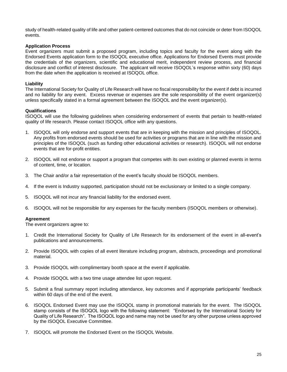study of health-related quality of life and other patient-centered outcomes that do not coincide or deter from ISOQOL events.

# **Application Process**

Event organizers must submit a proposed program, including topics and faculty for the event along with the Endorsed Events application form to the ISOQOL executive office. Applications for Endorsed Events must provide the credentials of the organizers, scientific and educational merit, independent review process, and financial disclosure and conflict of interest disclosure. The applicant will receive ISOQOL's response within sixty (60) days from the date when the application is received at ISOQOL office.

# **Liability**

The International Society for Quality of Life Research will have no fiscal responsibility for the event if debt is incurred and no liability for any event. Excess revenue or expenses are the sole responsibility of the event organizer(s) unless specifically stated in a formal agreement between the ISOQOL and the event organizer(s).

# **Qualifications**

ISOQOL will use the following guidelines when considering endorsement of events that pertain to health-related quality of life research. Please contact ISOQOL office with any questions.

- 1. ISOQOL will only endorse and support events that are in keeping with the mission and principles of ISOQOL. Any profits from endorsed events should be used for activities or programs that are in line with the mission and principles of the ISOQOL (such as funding other educational activities or research). ISOQOL will not endorse events that are for-profit entities.
- 2. ISOQOL will not endorse or support a program that competes with its own existing or planned events in terms of content, time, or location.
- 3. The Chair and/or a fair representation of the event's faculty should be ISOQOL members.
- 4. If the event is Industry supported, participation should not be exclusionary or limited to a single company.
- 5. ISOQOL will not incur any financial liability for the endorsed event.
- 6. ISOQOL will not be responsible for any expenses for the faculty members (ISOQOL members or otherwise).

#### **Agreement**

The event organizers agree to:

- 1. Credit the International Society for Quality of Life Research for its endorsement of the event in all-event's publications and announcements.
- 2. Provide ISOQOL with copies of all event literature including program, abstracts, proceedings and promotional material.
- 3. Provide ISOQOL with complimentary booth space at the event if applicable.
- 4. Provide ISOQOL with a two time usage attendee list upon request.
- 5. Submit a final summary report including attendance, key outcomes and if appropriate participants' feedback within 60 days of the end of the event.
- 6. ISOQOL Endorsed Event may use the ISOQOL stamp in promotional materials for the event. The ISOQOL stamp consists of the ISOQOL logo with the following statement: "Endorsed by the International Society for Quality of Life Research". The ISOQOL logo and name may not be used for any other purpose unless approved by the ISOQOL Executive Committee.
- 7. ISOQOL will promote the Endorsed Event on the ISOQOL Website.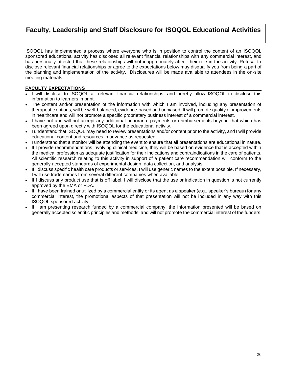# <span id="page-28-0"></span>**Faculty, Leadership and Staff Disclosure for ISOQOL Educational Activities**

ISOQOL has implemented a process where everyone who is in position to control the content of an ISOQOL sponsored educational activity has disclosed all relevant financial relationships with any commercial interest, and has personally attested that these relationships will not inappropriately affect their role in the activity. Refusal to disclose relevant financial relationships or agree to the expectations below may disqualify you from being a part of the planning and implementation of the activity. Disclosures will be made available to attendees in the on-site meeting materials.

# **FACULTY EXPECTATIONS**

- I will disclose to ISOQOL all relevant financial relationships, and hereby allow ISOQOL to disclose this information to learners in print.
- The content and/or presentation of the information with which I am involved, including any presentation of therapeutic options, will be well-balanced, evidence-based and unbiased. It will promote quality or improvements in healthcare and will not promote a specific proprietary business interest of a commercial interest.
- I have not and will not accept any additional honoraria, payments or reimbursements beyond that which has been agreed upon directly with ISOQOL for the educational activity.
- I understand that ISOQOL may need to review presentations and/or content prior to the activity, and I will provide educational content and resources in advance as requested.
- I understand that a monitor will be attending the event to ensure that all presentations are educational in nature.
- If I provide recommendations involving clinical medicine, they will be based on evidence that is accepted within the medical profession as adequate justification for their indications and contraindications in the care of patients. All scientific research relating to this activity in support of a patient care recommendation will conform to the generally accepted standards of experimental design, data collection, and analysis.
- If I discuss specific health care products or services, I will use generic names to the extent possible. If necessary, I will use trade names from several different companies when available.
- If I discuss any product use that is off label, I will disclose that the use or indication in question is not currently approved by the EMA or FDA.
- If I have been trained or utilized by a commercial entity or its agent as a speaker (e.g., speaker's bureau) for any commercial interest, the promotional aspects of that presentation will not be included in any way with this ISOQOL sponsored activity.
- If I am presenting research funded by a commercial company, the information presented will be based on generally accepted scientific principles and methods, and will not promote the commercial interest of the funders.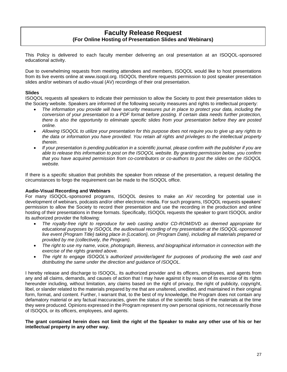# <span id="page-29-0"></span>**Faculty Release Request (For Online Hosting of Presentation Slides and Webinars)**

This Policy is delivered to each faculty member delivering an oral presentation at an ISOQOL-sponsored educational activity.

Due to overwhelming requests from meeting attendees and members, ISOQOL would like to host presentations from its live events online at www.isoqol.org. ISOQOL therefore requests permission to post speaker presentation slides and/or webinars of audio-visual (AV) recordings of their oral presentation.

# **Slides**

ISOQOL requests all speakers to indicate their permission to allow the Society to post their presentation slides to the Society website. Speakers are informed of the following security measures and rights to intellectual property:

- *The information you provide will have security measures put in place to protect your data, including the conversion of your presentation to a PDF format before posting. If certain data needs further protection, there is also the opportunity to eliminate specific slides from your presentation before they are posted online.*
- *Allowing ISOQOL to utilize your presentation for this purpose does not require you to give up any rights to the data or information you have provided. You retain all rights and privileges to the intellectual property therein.*
- *If your presentation is pending publication in a scientific journal, please confirm with the publisher if you are able to release this information to post on the ISOQOL website. By granting permission below, you confirm that you have acquired permission from co-contributors or co-authors to post the slides on the ISOQOL website.*

If there is a specific situation that prohibits the speaker from release of the presentation, a request detailing the circumstances to forgo the requirement can be made to the ISOQOL office.

# **Audio-Visual Recording and Webinars**

For many ISOQOL-sponsored programs, ISOQOL desires to make an AV recording for potential use in development of webinars, podcasts and/or other electronic media. For such programs, ISOQOL requests speakers' permission to allow the Society to record their presentation and use the recording in the production and online hosting of their presentations in these formats. Specifically, ISOQOL requests the speaker to grant ISOQOL and/or its authorized provider the following:

- *The royalty-free right to reproduce for web casting and/or CD-ROM/DVD as deemed appropriate for educational purposes by ISOQOL the audiovisual recording of my presentation at the ISOQOL-sponsored live event {Program Title} taking place in {Location}, on {Program Date}, including all materials prepared or provided by me (collectively, the Program).*
- *The right to use my name, voice, photograph, likeness, and biographical information in connection with the exercise of the rights granted above.*
- *The right to engage ISOQOL's authorized provider/agent for purposes of producing the web cast and distributing the same under the direction and guidance of ISOQOL.*

I hereby release and discharge to ISOQOL, its authorized provider and its officers, employees, and agents from any and all claims, demands, and causes of action that I may have against it by reason of its exercise of its rights hereunder including, without limitation, any claims based on the right of privacy, the right of publicity, copyright, libel, or slander related to the materials prepared by me that are unaltered, unedited, and maintained in their original form, format, and content. Further, I warrant that, to the best of my knowledge, the Program does not contain any defamatory material or any factual inaccuracies, given the status of the scientific basis of the materials at the time they were produced. Opinions expressed in the Program represent my own personal opinions, not necessarily those of ISOQOL or its officers, employees, and agents.

**The grant contained herein does not limit the right of the Speaker to make any other use of his or her intellectual property in any other way.**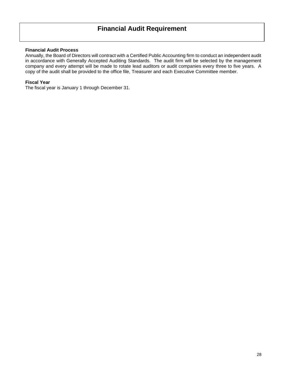# <span id="page-30-0"></span>**Financial Audit Requirement**

# **Financial Audit Process**

Annually, the Board of Directors will contract with a Certified Public Accounting firm to conduct an independent audit in accordance with Generally Accepted Auditing Standards. The audit firm will be selected by the management company and every attempt will be made to rotate lead auditors or audit companies every three to five years. A copy of the audit shall be provided to the office file, Treasurer and each Executive Committee member.

# **Fiscal Year**

The fiscal year is January 1 through December 31.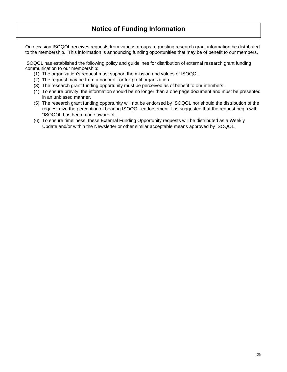# <span id="page-31-0"></span>**Notice of Funding Information**

On occasion ISOQOL receives requests from various groups requesting research grant information be distributed to the membership. This information is announcing funding opportunities that may be of benefit to our members.

ISOQOL has established the following policy and guidelines for distribution of external research grant funding communication to our membership:

- (1) The organization's request must support the mission and values of ISOQOL.
- (2) The request may be from a nonprofit or for-profit organization.
- (3) The research grant funding opportunity must be perceived as of benefit to our members.
- (4) To ensure brevity, the information should be no longer than a one page document and must be presented in an unbiased manner.
- (5) The research grant funding opportunity will not be endorsed by ISOQOL nor should the distribution of the request give the perception of bearing ISOQOL endorsement. It is suggested that the request begin with "ISOQOL has been made aware of…
- (6) To ensure timeliness, these External Funding Opportunity requests will be distributed as a Weekly Update and/or within the Newsletter or other similar acceptable means approved by ISOQOL.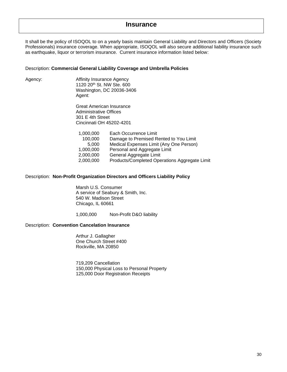# <span id="page-32-0"></span>**Insurance**

It shall be the policy of ISOQOL to on a yearly basis maintain General Liability and Directors and Officers (Society Professionals) insurance coverage. When appropriate, ISOQOL will also secure additional liability insurance such as earthquake, liquor or terrorism insurance. Current insurance information listed below:

#### Description: **Commercial General Liability Coverage and Umbrella Policies**

Agency: **Affinity Insurance Agency** 1120 20th St. NW Ste. 600 Washington, DC 20036-3406 Agent:

> Great American Insurance Administrative Offices 301 E 4th Street Cincinnati OH 45202-4201

| 1,000,000 | Each Occurrence Limit                         |
|-----------|-----------------------------------------------|
| 100,000   | Damage to Premised Rented to You Limit        |
| 5.000     | Medical Expenses Limit (Any One Person)       |
| 1,000,000 | Personal and Aggregate Limit                  |
| 2,000,000 | General Aggregate Limit                       |
| 2,000,000 | Products/Completed Operations Aggregate Limit |

#### Description: **Non-Profit Organization Directors and Officers Liability Policy**

Marsh U.S. Consumer A service of Seabury & Smith, Inc. 540 W. Madison Street Chicago, IL 60661

1,000,000 Non-Profit D&O liability

#### Description: **Convention Cancelation Insurance**

Arthur J. Gallagher One Church Street #400 Rockville, MA 20850

719,209 Cancellation 150,000 Physical Loss to Personal Property 125,000 Door Registration Receipts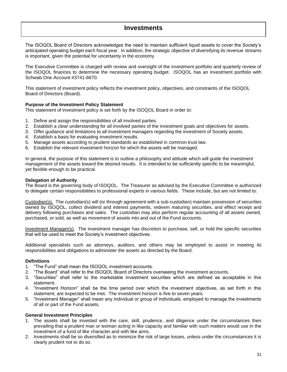# <span id="page-33-0"></span>**Investments**

The ISOQOL Board of Directors acknowledges the need to maintain sufficient liquid assets to cover the Society's anticipated operating budget each fiscal year. In addition, the strategic objective of diversifying its revenue streams is important, given the potential for uncertainty in the economy.

The Executive Committee is charged with review and oversight of the investment portfolio and quarterly review of the ISOQOL finances to determine the necessary operating budget. ISOQOL has an investment portfolio with Schwab One Account #3741-6670.

This statement of investment policy reflects the investment policy, objectives, and constraints of the ISOQOL Board of Directors (Board).

#### **Purpose of the Investment Policy Statement**

This statement of investment policy is set forth by the ISOQOL Board in order to:

- 1. Define and assign the responsibilities of all involved parties.
- 2. Establish a clear understanding for all involved parties of the investment goals and objectives for assets.
- 3. Offer guidance and limitations to all investment managers regarding the investment of Society assets.
- 4. Establish a basis for evaluating investment results.
- 5. Manage assets according to prudent standards as established in common trust law.
- 6. Establish the relevant investment horizon for which the assets will be managed.

In general, the purpose of this statement is to outline a philosophy and attitude which will guide the investment management of the assets toward the desired results. It is intended to be sufficiently specific to be meaningful, yet flexible enough to be practical.

# **Delegation of Authority**

The Board is the governing body of ISOQOL. The Treasurer as advised by the Executive Committee is authorized to delegate certain responsibilities to professional experts in various fields. These include, but are not limited to:

Custodian(s). The custodian(s) will (or through agreement with a sub-custodian) maintain possession of securities owned by ISOQOL, collect dividend and interest payments, redeem maturing securities, and effect receipt and delivery following purchases and sales. The custodian may also perform regular accounting of all assets owned, purchased, or sold, as well as movement of assets into and out of the Fund accounts.

Investment Manager(s). The investment manager has discretion to purchase, sell, or hold the specific securities that will be used to meet the Society's investment objectives.

Additional specialists such as attorneys, auditors, and others may be employed to assist in meeting its responsibilities and obligations to administer the assets as directed by the Board.

# **Definitions**

- 1. "The Fund" shall mean the ISOQOL investment accounts.
- 2. "The Board" shall refer to the ISOQOL Board of Directors overseeing the investment accounts.
- 3. "Securities" shall refer to the marketable investment securities which are defined as acceptable in this statement.
- 4. "Investment Horizon" shall be the time period over which the investment objectives, as set forth in this statement, are expected to be met. The investment horizon is five to seven years.
- 5. "Investment Manager" shall mean any individual or group of individuals, employed to manage the investments of all or part of the Fund assets.

#### **General Investment Principles**

- 1. The assets shall be invested with the care, skill, prudence, and diligence under the circumstances then prevailing that a prudent man or woman acting in like capacity and familiar with such matters would use in the investment of a fund of like character and with like aims.
- 2. Investments shall be so diversified as to minimize the risk of large losses, unless under the circumstances it is clearly prudent not to do so.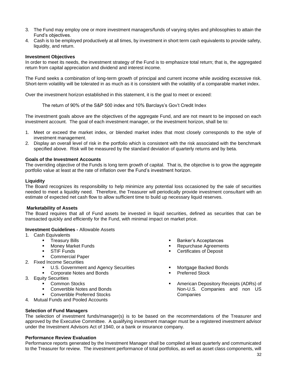- 3. The Fund may employ one or more investment managers/funds of varying styles and philosophies to attain the Fund's objectives.
- 4. Cash is to be employed productively at all times, by investment in short term cash equivalents to provide safety, liquidity, and return.

#### **Investment Objectives**

In order to meet its needs, the investment strategy of the Fund is to emphasize total return; that is, the aggregated return from capital appreciation and dividend and interest income.

The Fund seeks a combination of long-term growth of principal and current income while avoiding excessive risk. Short-term volatility will be tolerated in as much as it is consistent with the volatility of a comparable market index.

Over the investment horizon established in this statement, it is the goal to meet or exceed:

The return of 90% of the S&P 500 index and 10% Barclays's Gov't Credit Index

The investment goals above are the objectives of the aggregate Fund, and are not meant to be imposed on each investment account. The goal of each investment manager, or the investment horizon, shall be to:

- 1. Meet or exceed the market index, or blended market index that most closely corresponds to the style of investment management.
- 2. Display an overall level of risk in the portfolio which is consistent with the risk associated with the benchmark specified above. Risk will be measured by the standard deviation of quarterly returns and by beta.

#### **Goals of the Investment Accounts**

The overriding objective of the Funds is long term growth of capital. That is, the objective is to grow the aggregate portfolio value at least at the rate of inflation over the Fund's investment horizon.

# **Liquidity**

The Board recognizes its responsibility to help minimize any potential loss occasioned by the sale of securities needed to meet a liquidity need. Therefore, the Treasurer will periodically provide investment consultant with an estimate of expected net cash flow to allow sufficient time to build up necessary liquid reserves.

#### **Marketability of Assets**

The Board requires that all of Fund assets be invested in liquid securities, defined as securities that can be transacted quickly and efficiently for the Fund, with minimal impact on market price.

#### **Investment Guidelines -** Allowable Assets

- 1. Cash Equivalents
	- **•** Treasury Bills
		- Money Market Funds
		- **•** STIF Funds
		- Commercial Paper
- 2. Fixed Income Securities
	- U.S. Government and Agency Securities
	- Corporate Notes and Bonds
- 3. Equity Securities
	- **Common Stocks**
	- Convertible Notes and Bonds
	- **Convertible Preferred Stocks**
- 4. Mutual Funds and Pooled Accounts
- **Banker's Acceptances**
- Repurchase Agreements
	- **Certificates of Deposit**
	- Mortgage Backed Bonds
	- Preferred Stock
- American Depository Receipts (ADRs) of Non-U.S. Companies and non US Companies

#### **Selection of Fund Managers**

The selection of investment funds/manager(s) is to be based on the recommendations of the Treasurer and approved by the Executive Committee. A qualifying investment manager must be a registered investment advisor under the Investment Advisors Act of 1940, or a bank or insurance company.

#### **Performance Review Evaluation**

Performance reports generated by the Investment Manager shall be compiled at least quarterly and communicated to the Treasurer for review. The investment performance of total portfolios, as well as asset class components, will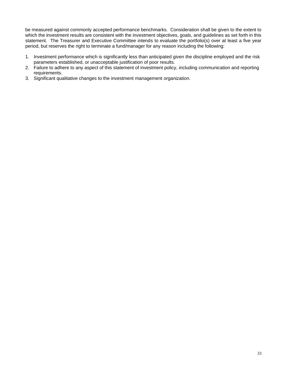be measured against commonly accepted performance benchmarks. Consideration shall be given to the extent to which the investment results are consistent with the investment objectives, goals, and guidelines as set forth in this statement. The Treasurer and Executive Committee intends to evaluate the portfolio(s) over at least a five year period, but reserves the right to terminate a fund/manager for any reason including the following:

- 1. Investment performance which is significantly less than anticipated given the discipline employed and the risk parameters established, or unacceptable justification of poor results.
- 2. Failure to adhere to any aspect of this statement of investment policy, including communication and reporting requirements.
- 3. Significant qualitative changes to the investment management organization.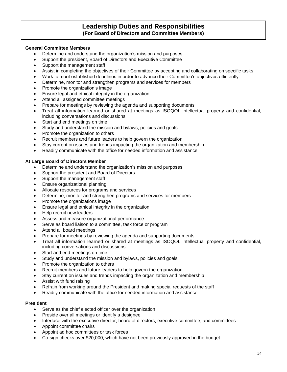## **Leadership Duties and Responsibilities (For Board of Directors and Committee Members)**

## **General Committee Members**

- Determine and understand the organization's mission and purposes
- Support the president, Board of Directors and Executive Committee
- Support the management staff
- Assist in completing the objectives of their Committee by accepting and collaborating on specific tasks
- Work to meet established deadlines in order to advance their Committee's objectives efficiently
- Determine, monitor and strengthen programs and services for members
- Promote the organization's image
- Ensure legal and ethical integrity in the organization
- Attend all assigned committee meetings
- Prepare for meetings by reviewing the agenda and supporting documents
- Treat all information learned or shared at meetings as ISOQOL intellectual property and confidential, including conversations and discussions
- Start and end meetings on time
- Study and understand the mission and bylaws, policies and goals
- Promote the organization to others
- Recruit members and future leaders to help govern the organization
- Stay current on issues and trends impacting the organization and membership
- Readily communicate with the office for needed information and assistance

## **At Large Board of Directors Member**

- Determine and understand the organization's mission and purposes
- Support the president and Board of Directors
- Support the management staff
- Ensure organizational planning
- Allocate resources for programs and services
- Determine, monitor and strengthen programs and services for members
- Promote the organizations image
- Ensure legal and ethical integrity in the organization
- Help recruit new leaders
- Assess and measure organizational performance
- Serve as board liaison to a committee, task force or program
- Attend all board meetings
- Prepare for meetings by reviewing the agenda and supporting documents
- Treat all information learned or shared at meetings as ISOQOL intellectual property and confidential, including conversations and discussions
- Start and end meetings on time
- Study and understand the mission and bylaws, policies and goals
- Promote the organization to others
- Recruit members and future leaders to help govern the organization
- Stay current on issues and trends impacting the organization and membership
- Assist with fund raising
- Refrain from working around the President and making special requests of the staff
- Readily communicate with the office for needed information and assistance

#### **President**

- Serve as the chief elected officer over the organization
- Preside over all meetings or identify a designee
- Interface with the executive director, board of directors, executive committee, and committees
- Appoint committee chairs
- Appoint ad hoc committees or task forces
- Co-sign checks over \$20,000, which have not been previously approved in the budget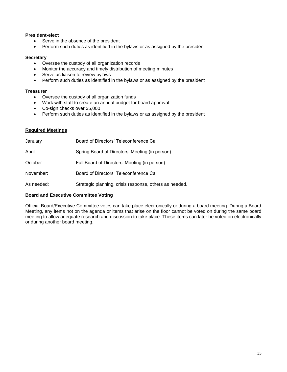## **President-elect**

- Serve in the absence of the president
- Perform such duties as identified in the bylaws or as assigned by the president

### **Secretary**

- Oversee the custody of all organization records
- Monitor the accuracy and timely distribution of meeting minutes
- Serve as liaison to review bylaws
- Perform such duties as identified in the bylaws or as assigned by the president

## **Treasurer**

- Oversee the custody of all organization funds
- Work with staff to create an annual budget for board approval
- Co-sign checks over \$5,000
- Perform such duties as identified in the bylaws or as assigned by the president

## **Required Meetings**

| January    | Board of Directors' Teleconference Call                |
|------------|--------------------------------------------------------|
| April      | Spring Board of Directors' Meeting (in person)         |
| October:   | Fall Board of Directors' Meeting (in person)           |
| November:  | Board of Directors' Teleconference Call                |
| As needed: | Strategic planning, crisis response, others as needed. |

## **Board and Executive Committee Voting**

Official Board/Executive Committee votes can take place electronically or during a board meeting. During a Board Meeting, any items not on the agenda or items that arise on the floor cannot be voted on during the same board meeting to allow adequate research and discussion to take place. These items can later be voted on electronically or during another board meeting.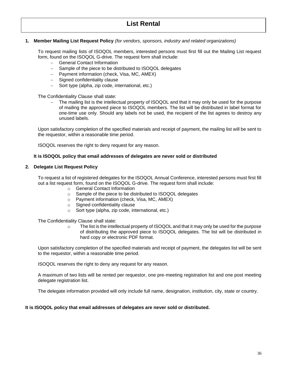## **1. Member Mailing List Request Policy** *(for vendors, sponsors, industry and related organizations)*

To request mailing lists of ISOQOL members, interested persons must first fill out the Mailing List request form, found on the ISOQOL G-drive. The request form shall include:

- − General Contact Information
- − Sample of the piece to be distributed to ISOQOL delegates
- − Payment information (check, Visa, MC, AMEX)
- − Signed confidentiality clause
- − Sort type (alpha, zip code, international, etc.)

The Confidentiality Clause shall state:

The mailing list is the intellectual property of ISOQOL and that it may only be used for the purpose of mailing the approved piece to ISOQOL members. The list will be distributed in label format for one-time use only. Should any labels not be used, the recipient of the list agrees to destroy any unused labels.

Upon satisfactory completion of the specified materials and receipt of payment, the mailing list will be sent to the requestor, within a reasonable time period.

ISOQOL reserves the right to deny request for any reason.

#### **It is ISOQOL policy that email addresses of delegates are never sold or distributed**

#### **2. Delegate List Request Policy**

To request a list of registered delegates for the ISOQOL Annual Conference, interested persons must first fill out a list request form, found on the ISOQOL G-drive. The request form shall include:

- o General Contact Information
- o Sample of the piece to be distributed to ISOQOL delegates
- o Payment information (check, Visa, MC, AMEX)
- o Signed confidentiality clause
- o Sort type (alpha, zip code, international, etc.)

The Confidentiality Clause shall state:

 $\circ$  The list is the intellectual property of ISOQOL and that it may only be used for the purpose of distributing the approved piece to ISOQOL delegates. The list will be distributed in hard copy or electronic PDF format.

Upon satisfactory completion of the specified materials and receipt of payment, the delegates list will be sent to the requestor, within a reasonable time period.

ISOQOL reserves the right to deny any request for any reason.

A maximum of two lists will be rented per requestor, one pre-meeting registration list and one post meeting delegate registration list.

The delegate information provided will only include full name, designation, institution, city, state or country.

#### **It is ISOQOL policy that email addresses of delegates are never sold or distributed.**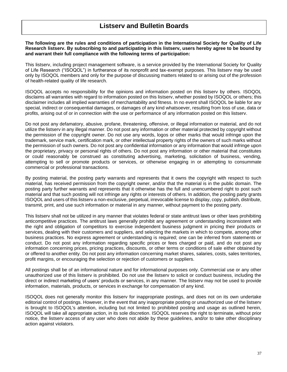## **Listserv and Bulletin Boards**

**The following are the rules and conditions of participation in the International Society for Quality of Life Research listserv. By subscribing to and participating in this listserv, users hereby agree to be bound by and warrant their full compliance with the following terms of participation:**

This listserv, including project management software, is a service provided by the International Society for Quality of Life Research ("ISOQOL") in furtherance of its nonprofit and tax-exempt purposes. This listserv may be used only by ISOQOL members and only for the purpose of discussing matters related to or arising out of the profession of health-related quality of life research.

ISOQOL accepts no responsibility for the opinions and information posted on this listserv by others. ISOQOL disclaims all warranties with regard to information posted on this listserv, whether posted by ISOQOL or others; this disclaimer includes all implied warranties of merchantability and fitness. In no event shall ISOQOL be liable for any special, indirect or consequential damages, or damages of any kind whatsoever, resulting from loss of use, data or profits, arising out of or in connection with the use or performance of any information posted on this listserv.

Do not post any defamatory, abusive, profane, threatening, offensive, or illegal information or material, and do not utilize the listserv in any illegal manner. Do not post any information or other material protected by copyright without the permission of the copyright owner. Do not use any words, logos or other marks that would infringe upon the trademark, service mark, certification mark, or other intellectual property rights of the owners of such marks without the permission of such owners. Do not post any confidential information or any information that would infringe upon the proprietary, privacy or personal rights of others. Do not post any information or other material that constitutes or could reasonably be construed as constituting advertising, marketing, solicitation of business, vending, attempting to sell or promote products or services, or otherwise engaging in or attempting to consummate commercial or professional transactions.

By posting material, the posting party warrants and represents that it owns the copyright with respect to such material, has received permission from the copyright owner, and/or that the material is in the public domain. The posting party further warrants and represents that it otherwise has the full and unencumbered right to post such material and that such posting will not infringe any rights or interests of others. In addition, the posting party grants ISOQOL and users of this listserv a non-exclusive, perpetual, irrevocable license to display, copy, publish, distribute, transmit, print, and use such information or material in any manner, without payment to the posting party.

This listserv shall not be utilized in any manner that violates federal or state antitrust laws or other laws prohibiting anticompetitive practices. The antitrust laws generally prohibit any agreement or understanding inconsistent with the right and obligation of competitors to exercise independent business judgment in pricing their products or services, dealing with their customers and suppliers, and selecting the markets in which to compete, among other business practices. No express agreement or understanding is required; one can be inferred from statements or conduct. Do not post any information regarding specific prices or fees charged or paid, and do not post any information concerning prices, pricing practices, discounts, or other terms or conditions of sale either obtained by or offered to another entity. Do not post any information concerning market shares, salaries, costs, sales territories, profit margins, or encouraging the selection or rejection of customers or suppliers.

All postings shall be of an informational nature and for informational purposes only. Commercial use or any other unauthorized use of this listserv is prohibited. Do not use the listserv to solicit or conduct business, including the direct or indirect marketing of users' products or services, in any manner. The listserv may not be used to provide information, materials, products, or services in exchange for compensation of any kind.

ISOQOL does not generally monitor this listserv for inappropriate postings, and does not on its own undertake editorial control of postings. However, in the event that any inappropriate posting or unauthorized use of the listserv is brought to ISOQOL's attention, including but not limited to prohibited posting and usage as outlined herein, ISOQOL will take all appropriate action, in its sole discretion. ISOQOL reserves the right to terminate, without prior notice, the listserv access of any user who does not abide by these guidelines, and/or to take other disciplinary action against violators.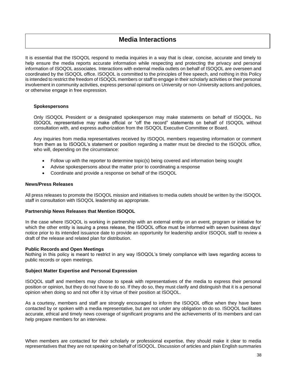## **Media Interactions**

It is essential that the ISOQOL respond to media inquiries in a way that is clear, concise, accurate and timely to help ensure the media reports accurate information while respecting and protecting the privacy and personal information of ISOQOL associates. Interactions with external media outlets on behalf of ISOQOL are overseen and coordinated by the ISOQOL office. ISOQOL is committed to the principles of free speech, and nothing in this Policy is intended to restrict the freedom of ISOQOL members or staff to engage in their scholarly activities or their personal involvement in community activities, express personal opinions on University or non-University actions and policies, or otherwise engage in free expression.

#### **Spokespersons**

Only ISOQOL President or a designated spokesperson may make statements on behalf of ISOQOL. No ISOQOL representative may make official or "off the record" statements on behalf of ISOQOL without consultation with, and express authorization from the ISOQOL Executive Committee or Board.

Any inquiries from media representatives received by ISOQOL members requesting information or comment from them as to ISOQOL's statement or position regarding a matter must be directed to the ISOQOL office, who will, depending on the circumstance:

- Follow up with the reporter to determine topic(s) being covered and information being sought
- Advise spokespersons about the matter prior to coordinating a response
- Coordinate and provide a response on behalf of the ISOQOL

### **News/Press Releases**

All press releases to promote the ISOQOL mission and initiatives to media outlets should be written by the ISOQOL staff in consultation with ISOQOL leadership as appropriate.

#### **Partnership News Releases that Mention ISOQOL**

In the case where ISOQOL is working in partnership with an external entity on an event, program or initiative for which the other entity is issuing a press release, the ISOQOL office must be informed with seven business days' notice prior to its intended issuance date to provide an opportunity for leadership and/or ISOQOL staff to review a draft of the release and related plan for distribution.

#### **Public Records and Open Meetings**

Nothing in this policy is meant to restrict in any way ISOQOL's timely compliance with laws regarding access to public records or open meetings.

#### **Subject Matter Expertise and Personal Expression**

ISOQOL staff and members may choose to speak with representatives of the media to express their personal position or opinion, but they do not have to do so. If they do so, they must clarify and distinguish that it is a personal opinion when doing so and not offer it by virtue of their position at ISOQOL.

As a courtesy, members and staff are strongly encouraged to inform the ISOQOL office when they have been contacted by or spoken with a media representative, but are not under any obligation to do so. ISOQOL facilitates accurate, ethical and timely news coverage of significant programs and the achievements of its members and can help prepare members for an interview.

When members are contacted for their scholarly or professional expertise, they should make it clear to media representatives that they are not speaking on behalf of ISOQOL. Discussion of articles and plain English summaries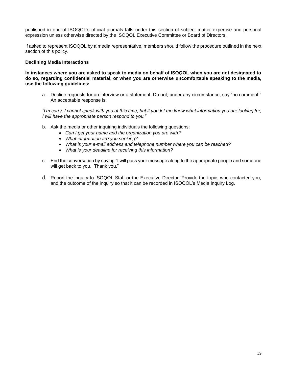published in one of ISOQOL's official journals falls under this section of subject matter expertise and personal expression unless otherwise directed by the ISOQOL Executive Committee or Board of Directors.

If asked to represent ISOQOL by a media representative, members should follow the procedure outlined in the next section of this policy.

### **Declining Media Interactions**

**In instances where you are asked to speak to media on behalf of ISOQOL when you are not designated to do so, regarding confidential material, or when you are otherwise uncomfortable speaking to the media, use the following guidelines:**

a. Decline requests for an interview or a statement. Do not, under any circumstance, say "no comment." An acceptable response is:

*"I'm sorry, I cannot speak with you at this time, but if you let me know what information you are looking for, I will have the appropriate person respond to you."* 

- b. Ask the media or other inquiring individuals the following questions:
	- *Can I get your name and the organization you are with?*
	- *What information are you seeking?*
	- *What is your e-mail address and telephone number where you can be reached?*
	- *What is your deadline for receiving this information?*
- c. End the conversation by saying "I will pass your message along to the appropriate people and someone will get back to you. Thank you."
- d. Report the inquiry to ISOQOL Staff or the Executive Director. Provide the topic, who contacted you, and the outcome of the inquiry so that it can be recorded in ISOQOL's Media Inquiry Log.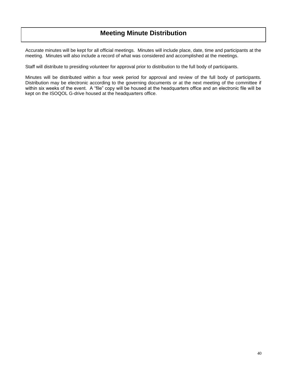Accurate minutes will be kept for all official meetings. Minutes will include place, date, time and participants at the meeting. Minutes will also include a record of what was considered and accomplished at the meetings.

Staff will distribute to presiding volunteer for approval prior to distribution to the full body of participants.

Minutes will be distributed within a four week period for approval and review of the full body of participants. Distribution may be electronic according to the governing documents or at the next meeting of the committee if within six weeks of the event. A "file" copy will be housed at the headquarters office and an electronic file will be kept on the ISOQOL G-drive housed at the headquarters office.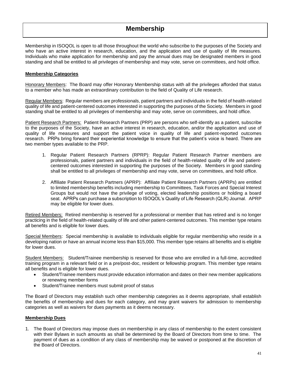# **Membership**

Membership in ISOQOL is open to all those throughout the world who subscribe to the purposes of the Society and who have an active interest in research, education, and the application and use of quality of life measures. Individuals who make application for membership and pay the annual dues may be designated members in good standing and shall be entitled to all privileges of membership and may vote, serve on committees, and hold office.

## **Membership Categories**

Honorary Members: The Board may offer Honorary Membership status with all the privileges afforded that status to a member who has made an extraordinary contribution to the field of Quality of Life research.

Regular Members: Regular members are professionals, patient partners and individuals in the field of health-related quality of life and patient-centered outcomes interested in supporting the purposes of the Society. Members in good standing shall be entitled to all privileges of membership and may vote, serve on committees, and hold office.

Patient Research Partners: Patient Research Partners (PRP) are persons who self-identify as a patient, subscribe to the purposes of the Society, have an active interest in research, education, and/or the application and use of quality of life measures and support the patient voice in quality of life and patient-reported outcomes research. PRPs bring forward their experiential knowledge to ensure that the patient's voice is heard. There are two member types available to the PRP.

- 1. Regular Patient Research Partners (RPRP): Regular Patient Research Partner members are professionals, patient partners and individuals in the field of health-related quality of life and patientcentered outcomes interested in supporting the purposes of the Society. Members in good standing shall be entitled to all privileges of membership and may vote, serve on committees, and hold office.
- 2. Affiliate Patient Research Partners (APRP): Affiliate Patient Research Partners (APRPs) are entitled to limited membership benefits including membership to Committees, Task Forces and Special Interest Groups but would not have the privilege of voting, elected leadership positions or holding a board seat. APRPs can purchase a subscription to ISOQOL's Quality of Life Research (QLR) Journal. APRP may be eligible for lower dues.

Retired Members: Retired membership is reserved for a professional or member that has retired and is no longer practicing in the field of health-related quality of life and other patient-centered outcomes. This member type retains all benefits and is eligible for lower dues.

Special Members: Special membership is available to individuals eligible for regular membership who reside in a developing nation or have an annual income less than \$15,000. This member type retains all benefits and is eligible for lower dues.

Student Members: Student/Trainee membership is reserved for those who are enrolled in a full-time, accredited training program in a relevant field or in a pre/post-doc, resident or fellowship program. This member type retains all benefits and is eligible for lower dues.

- Student/Trainee members must provide education information and dates on their new member applications or renewing member forms
- Student/Trainee members must submit proof of status

The Board of Directors may establish such other membership categories as it deems appropriate, shall establish the benefits of membership and dues for each category, and may grant waivers for admission to membership categories as well as waivers for dues payments as it deems necessary.

## **Membership Dues**

1. The Board of Directors may impose dues on membership in any class of membership to the extent consistent with their Bylaws in such amounts as shall be determined by the Board of Directors from time to time. The payment of dues as a condition of any class of membership may be waived or postponed at the discretion of the Board of Directors.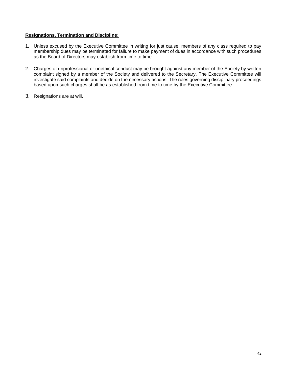## **Resignations, Termination and Discipline:**

- 1. Unless excused by the Executive Committee in writing for just cause, members of any class required to pay membership dues may be terminated for failure to make payment of dues in accordance with such procedures as the Board of Directors may establish from time to time.
- 2. Charges of unprofessional or unethical conduct may be brought against any member of the Society by written complaint signed by a member of the Society and delivered to the Secretary. The Executive Committee will investigate said complaints and decide on the necessary actions. The rules governing disciplinary proceedings based upon such charges shall be as established from time to time by the Executive Committee.
- 3. Resignations are at will.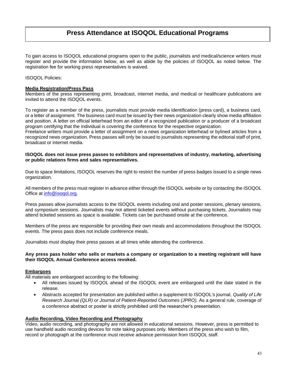# **Press Attendance at ISOQOL Educational Programs**

To gain access to ISOQOL educational programs open to the public, journalists and medical/science writers must register and provide the information below, as well as abide by the policies of ISOQOL as noted below. The registration fee for working press representatives is waived.

ISOQOL Policies:

### **Media Registration/Press Pass**

Members of the press representing print, broadcast, internet media, and medical or healthcare publications are invited to attend the ISOQOL events.

To register as a member of the press, journalists must provide media identification (press card), a business card, or a letter of assignment. The business card must be issued by their news organization clearly show media affiliation and position. A letter on official letterhead from an editor of a recognized publication or a producer of a broadcast program certifying that the individual is covering the conference for the respective organization.

Freelance writers must provide a letter of assignment on a news organization letterhead or bylined articles from a recognized news organization. Press passes will only be issued to journalists representing the editorial staff of print, broadcast or internet media.

#### **ISOQOL does not issue press passes to exhibitors and representatives of industry, marketing, advertising or public relations firms and sales representatives.**

Due to space limitations, ISOQOL reserves the right to restrict the number of press badges issued to a single news organization.

All members of the press must register in advance either through the ISOQOL website or by contacting the ISOQOL Office at [info@isoqol.org.](mailto:info@isoqol.org)

Press passes allow journalists access to the ISOQOL events including oral and poster sessions, plenary sessions, and symposium sessions. Journalists may not attend ticketed events without purchasing tickets. Journalists may attend ticketed sessions as space is available. Tickets can be purchased onsite at the conference.

Members of the press are responsible for providing their own meals and accommodations throughout the ISOQOL events. The press pass does not include conference meals.

Journalists must display their press passes at all times while attending the conference.

#### **Any press pass holder who sells or markets a company or organization to a meeting registrant will have their ISOQOL Annual Conference access revoked.**

#### **Embargoes**

All materials are embargoed according to the following:

- All releases issued by ISOQOL ahead of the ISOQOL event are embargoed until the date stated in the release.
- Abstracts accepted for presentation are published within a supplement to ISOQOL's journal, *Quality of Life Research Journal (QLR) or Journal of Patient-Reported Outcomes (JPRO).* As a general rule, coverage of a conference abstract or poster is strictly prohibited until the researcher's presentation.

#### **Audio Recording, Video Recording and Photography**

Video, audio recording, and photography are not allowed in educational sessions. However, press is permitted to use handheld audio recording devices for note taking purposes only. Members of the press who wish to film, record or photograph at the conference must receive advance permission from ISOQOL staff.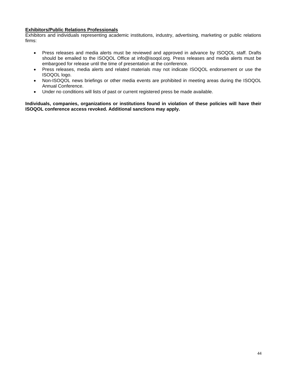## **Exhibitors/Public Relations Professionals**

Exhibitors and individuals representing academic institutions, industry, advertising, marketing or public relations firms:

- Press releases and media alerts must be reviewed and approved in advance by ISOQOL staff. Drafts should be emailed to the ISOQOL Office at info@isoqol.org. Press releases and media alerts must be embargoed for release until the time of presentation at the conference.
- Press releases, media alerts and related materials may not indicate ISOQOL endorsement or use the ISOQOL logo.
- Non-ISOQOL news briefings or other media events are prohibited in meeting areas during the ISOQOL Annual Conference.
- Under no conditions will lists of past or current registered press be made available.

**Individuals, companies, organizations or institutions found in violation of these policies will have their ISOQOL conference access revoked. Additional sanctions may apply.**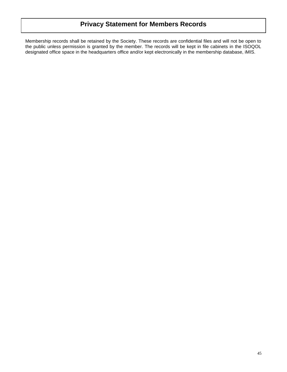Membership records shall be retained by the Society. These records are confidential files and will not be open to the public unless permission is granted by the member. The records will be kept in file cabinets in the ISOQOL designated office space in the headquarters office and/or kept electronically in the membership database, iMIS.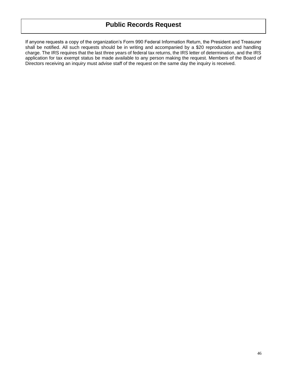If anyone requests a copy of the organization's Form 990 Federal Information Return, the President and Treasurer shall be notified. All such requests should be in writing and accompanied by a \$20 reproduction and handling charge. The IRS requires that the last three years of federal tax returns, the IRS letter of determination, and the IRS application for tax exempt status be made available to any person making the request. Members of the Board of Directors receiving an inquiry must advise staff of the request on the same day the inquiry is received.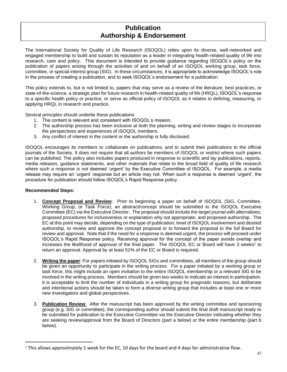# **Publication Authorship & Endorsement**

The International Society for Quality of Life Research (ISOQOL) relies upon its diverse, well-networked and engaged membership to build and sustain its reputation as a leader in integrating health-related quality of life into research, care and policy. This document is intended to provide guidance regarding ISOQOL's policy on the publication of papers arising through the activities of and on behalf of an ISOQOL working group, task force, committee, or special interest group (SIG). In these circumstances, it is appropriate to acknowledge ISOQOL's role in the process of creating a publication, and to seek ISOQOL's endorsement for a publication.

This policy extends to, but is not limited to, papers that may serve as a review of the literature, best practices, or state-of-the-science, a strategic plan for future research in health-related quality of life (HRQL), ISOQOL's response to a specific health policy or practice, or serve as official policy of ISOQOL as it relates to defining, measuring, or applying HRQL in research and practice.

Several principles should underlie these publications:

- 1. The content is relevant and consistent with ISOQOL's mission.
- 2. The authorship process has been inclusive at both the planning, writing and review stages to incorporate the perspectives and experiences of ISOQOL members.
- 3. Any conflict of interest in the content or the authorship is fully disclosed.

ISOQOL encourages its members to collaborate on publications, and to submit their publications to the official journals of the Society. It does not require that all authors be members of ISOQOL or restrict where such papers can be published. The policy also includes papers produced in response to scientific and lay publications, reports, media releases, guidance statements, and other materials that relate to the broad field of quality of life research where such a response *is not* deemed 'urgent' by the Executive Committee of ISOQOL. For example, a media release may require an 'urgent' response but an article may not. When such a response is deemed 'urgent', the procedure for publication should follow ISOQOL's Rapid Response policy.

#### **Recommended Steps:**

- 1. **Concept Proposal and Review**: Prior to beginning a paper on behalf of ISOQOL (SIG, Committee, Working Group, or Task Force), an abstract/concept should be submitted to the ISOQOL Executive Committee (EC) via the Executive Director. The proposal should include the target journal with alternatives; proposed procedures for inclusiveness or explanation why not appropriate; and proposed authorship. The EC at this point may decide, depending on the type of publication, level of ISOQOL involvement and desired authorship, to review and approve the concept proposal or to forward the proposal to the full Board for review and approval. Note that if the need for a response is deemed urgent, the process will proceed under ISOQOL's Rapid Response policy. Receiving approval for the concept of the paper avoids overlap and increases the likelihood of approval of the final paper. The ISOQOL EC or Board will have 3 weeks<sup>1</sup> to return an approval. Approval by at least 51% of the EC or Board is required.
- 2. **Writing the paper**: For papers initiated by ISOQOL SIGs and committees, all members of the group should be given an opportunity to participate in the writing process. For a paper initiated by a working group or task force, this might include an open invitation to the entire ISOQOL membership or a relevant SIG to be involved in the writing process. Members should be given two weeks to indicate an interest in participation. It is acceptable to limit the number of individuals in a writing group for pragmatic reasons, but deliberate and intentional actions should be taken to form a diverse writing group that includes at least one or more new investigators and global perspectives.
- 3. **Publication Review**: After the manuscript has been approved by the writing committee and sponsoring group (e.g. SIG or committee), the corresponding author should submit the final draft manuscript ready to be submitted for publication to the Executive Committee via the Executive Director indicating whether they are seeking review/approval from the Board of Directors (part a below) or the entire membership (part b below).

<sup>&</sup>lt;sup>1</sup> This allows approximately 1 week for the EC, 10 days for the board and 4 days for administrative flow.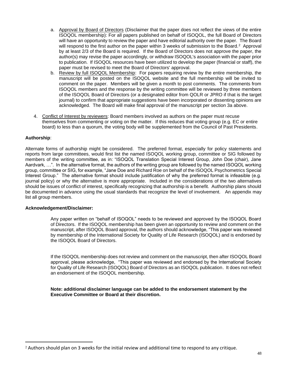- a. Approval by Board of Directors (Disclaimer that the paper does not reflect the views of the entire ISOQOL membership): For all papers published on behalf of ISOQOL, the full Board of Directors will have an opportunity to review the paper and have editorial authority over the paper. The Board will respond to the first author on the paper within 3 weeks of submission to the Board.<sup>2</sup> Approval by at least 2/3 of the Board is required. If the Board of Directors does not approve the paper, the author(s) may revise the paper accordingly, or withdraw ISOQOL's association with the paper prior to publication. If ISOQOL resources have been utilized to develop the paper (financial or staff), the paper must be revised to meet the Board of Directors' approval.
- b. Review by full ISOQOL Membership: For papers requiring review by the entire membership, the manuscript will be posted on the ISOQOL website and the full membership will be invited to comment on the paper. Members will be given a month to post comments. The comments from ISOQOL members and the response by the writing committee will be reviewed by three members of the ISOQOL Board of Directors (or a designated editor from QOLR or JPRO if that is the target journal) to confirm that appropriate suggestions have been incorporated or dissenting opinions are acknowledged. The Board will make final approval of the manuscript per section 3a above.
- 4. Conflict of Interest by reviewers: Board members involved as authors on the paper must recuse themselves from commenting or voting on the matter. If this reduces that voting group (e.g. EC or entire board) to less than a quorum, the voting body will be supplemented from the Council of Past Presidents.

## **Authorship**:

Alternate forms of authorship might be considered. The preferred format, especially for policy statements and reports from large committees, would first list the named ISOQOL working group, committee or SIG followed by members of the writing committee, as in: "ISOQOL Translation Special Interest Group, John Doe (chair), Jane Aardvark, …". In the alternative format, the authors of the writing group are followed by the named ISOQOL working group, committee or SIG, for example, "Jane Doe and Richard Roe on behalf of the ISOQOL Psychometrics Special Interest Group." The alternative format should include justification of why the preferred format is infeasible (e.g. journal policy) or why the alternative is more appropriate. Included in the considerations of the two alternatives should be issues of conflict of interest, specifically recognizing that authorship is a benefit. Authorship plans should be documented in advance using the usual standards that recognize the level of involvement. An appendix may list all group members.

## **Acknowledgement/Disclaimer:**

Any paper written on "behalf of ISOQOL" needs to be reviewed and approved by the ISOQOL Board of Directors. If the ISOQOL membership has been given an opportunity to review and comment on the manuscript, after ISOQOL Board approval, the authors should acknowledge, "This paper was reviewed by membership of the International Society for Quality of Life Research (ISOQOL) and is endorsed by the ISOQOL Board of Directors.

If the ISOQOL membership does not review and comment on the manuscript, then after ISOQOL Board approval, please acknowledge, "This paper was reviewed and endorsed by the International Society for Quality of Life Research (ISOQOL) Board of Directors as an ISOQOL publication. It does not reflect an endorsement of the ISOQOL membership.

**Note: additional disclaimer language can be added to the endorsement statement by the Executive Committee or Board at their discretion.**

<sup>2</sup> Authors should plan on 3 weeks for the initial review and additional time to respond to any critique.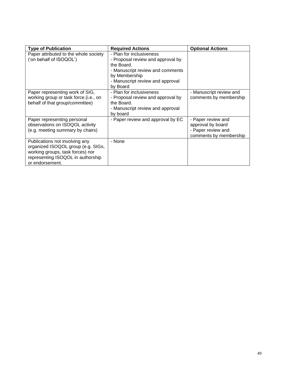| <b>Type of Publication</b>                                                                                                                                       | <b>Required Actions</b>                                                                                                                                                          | <b>Optional Actions</b>                                                                 |
|------------------------------------------------------------------------------------------------------------------------------------------------------------------|----------------------------------------------------------------------------------------------------------------------------------------------------------------------------------|-----------------------------------------------------------------------------------------|
| Paper attributed to the whole society<br>('on behalf of ISOQOL')                                                                                                 | - Plan for inclusiveness<br>- Proposal review and approval by<br>the Board.<br>- Manuscript review and comments<br>by Membership<br>- Manuscript review and approval<br>by Board |                                                                                         |
| Paper representing work of SIG,<br>working group or task force.(i.e., on<br>behalf of that group/committee)                                                      | - Plan for inclusiveness<br>- Proposal review and approval by<br>the Board.<br>- Manuscript review and approval<br>by board                                                      | - Manuscript review and<br>comments by membership                                       |
| Paper representing personal<br>observations on ISOQOL activity<br>(e.g. meeting summary by chairs)                                                               | - Paper review and approval by EC                                                                                                                                                | - Paper review and<br>approval by board<br>- Paper review and<br>comments by membership |
| Publications not involving any<br>organized ISOQOL group (e.g. SIGs,<br>working groups, task forces) nor<br>representing ISOQOL in authorship<br>or endorsement. | - None                                                                                                                                                                           |                                                                                         |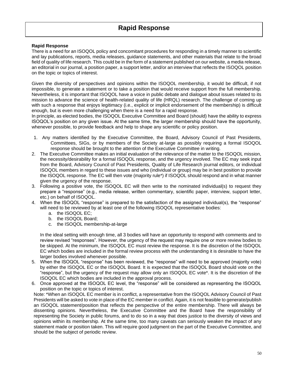### **Rapid Response**

There is a need for an ISOQOL policy and concomitant procedures for responding in a timely manner to scientific and lay publications, reports, media releases, guidance statements, and other materials that relate to the broad field of quality of life research. This could be in the form of a statement published on our website, a media release, an editorial in our journal, a position paper, a support letter, and/or an interview that reflects the ISOQOL position on the topic or topics of interest.

Given the diversity of perspectives and opinions within the ISOQOL membership, it would be difficult, if not impossible, to generate a statement or to take a position that would receive support from the full membership. Nevertheless, it is important that ISOQOL have a voice in public debate and dialogue about issues related to its mission to advance the science of health-related quality of life (HRQL) research. The challenge of coming up with such a response that enjoys legitimacy (i.e., explicit or implicit endorsement of the membership) is difficult enough, but is even more challenging when there is a need for a rapid response.

In principle, as elected bodies, the ISOQOL Executive Committee and Board (should) have the ability to express ISOQOL's position on any given issue. At the same time, the larger membership should have the opportunity, whenever possible, to provide feedback and help to shape any scientific or policy position.

- 1. Any matters identified by the Executive Committee, the Board, Advisory Council of Past Presidents, Committees, SIGs, or by members of the Society at-large as possibly requiring a formal ISOQOL response should be brought to the attention of the Executive Committee in writing.
- 2. The Executive Committee makes an initial evaluation of the relevance of the matter to the ISOQOL mission, the necessity/desirability for a formal ISOQOL response, and the urgency involved. The EC may seek input from the Board, Advisory Council of Past Presidents, Quality of Life Research journal editors, or individual ISOQOL members in regard to these issues and who (individual or group) may be in best position to provide the ISOQOL response. The EC will then vote (majority rule\*) if ISOQOL should respond and in what manner given the urgency of the response.
- 3. Following a positive vote, the ISOQOL EC will then write to the nominated individual(s) to request they prepare a "response" (e.g., media release, written commentary, scientific paper, interview, support letter, etc.) on behalf of ISOQOL.
- 4. When the ISOQOL "response" is prepared to the satisfaction of the assigned individual(s), the "response" will need to be reviewed by at least one of the following ISOQOL representative bodies:
	- a. the ISOQOL EC;
	- b. the ISOQOL Board;
	- c. the ISOQOL membership-at-large

In the ideal setting with enough time, all 3 bodies will have an opportunity to respond with comments and to review revised "responses". However, the urgency of the request may require one or more review bodies to be skipped. At the minimum, the ISOQOL EC must review the response. It is the discretion of the ISOQOL EC which bodies are included in the formal review process with the understanding it is desirable to have the larger bodies involved whenever possible.

- 5. When the ISOQOL "response" has been reviewed, the "response" will need to be approved (majority vote) by either the ISOQOL EC or the ISOQOL Board. It is expected that the ISOQOL Board should vote on the "response", but the urgency of the request may allow only an ISOQOL EC vote\*. It is the discretion of the ISOQOL EC which bodies are included in the approval process.
- 6. Once approved at the ISOQOL EC level, the "response" will be considered as representing the ISOQOL position on the topic or topics of interest.

Note: \*When an ISOQOL EC member is in conflict, a representative from the ISOQOL Advisory Council of Past Presidents will be asked to vote in place of the EC member in conflict. Again, it is not feasible to generate/publish an ISOQOL statement/position that reflects the perspective of the entire membership. There will always be dissenting opinions. Nevertheless, the Executive Committee and the Board have the responsibility of representing the Society in public forums, and to do so in a way that does justice to the diversity of views and opinions within its membership. At the same time, too many caveats can seriously weaken the impact of any statement made or position taken. This will require good judgment on the part of the Executive Committee, and should be the subject of periodic review.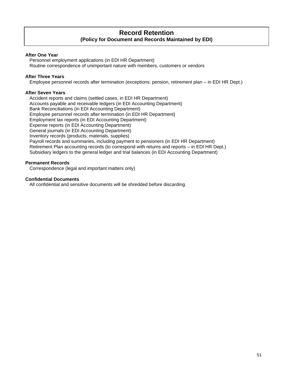## **Record Retention (Policy for Document and Records Maintained by EDI)**

## **After One Year**

Personnel employment applications (in EDI HR Department) Routine correspondence of unimportant nature with members, customers or vendors

## **After Three Years**

Employee personnel records after termination (exceptions: pension, retirement plan – in EDI HR Dept.)

## **After Seven Years**

Accident reports and claims (settled cases, in EDI HR Department) Accounts payable and receivable ledgers (in EDI Accounting Department) Bank Reconciliations (in EDI Accounting Department) Employee personnel records after termination (in EDI HR Department) Employment tax reports (in EDI Accounting Department) Expense reports (in EDI Accounting Department) General journals (in EDI Accounting Department) Inventory records (products, materials, supplies) Payroll records and summaries, including payment to pensioners (in EDI HR Department) Retirement Plan accounting records (to correspond with returns and reports – in EDI HR Dept.) Subsidiary ledgers to the general ledger and trial balances (in EDI Accounting Department)

## **Permanent Records**

Correspondence (legal and important matters only)

#### **Confidential Documents**

All confidential and sensitive documents will be shredded before discarding.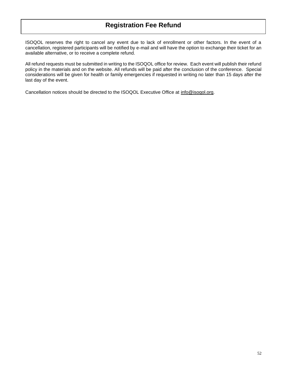# **Registration Fee Refund**

ISOQOL reserves the right to cancel any event due to lack of enrollment or other factors. In the event of a cancellation, registered participants will be notified by e-mail and will have the option to exchange their ticket for an available alternative, or to receive a complete refund.

All refund requests must be submitted in writing to the ISOQOL office for review. Each event will publish their refund policy in the materials and on the website. All refunds will be paid after the conclusion of the conference. Special considerations will be given for health or family emergencies if requested in writing no later than 15 days after the last day of the event.

Cancellation notices should be directed to the ISOQOL Executive Office at [info@isoqol.org.](javascript:void(location.href=)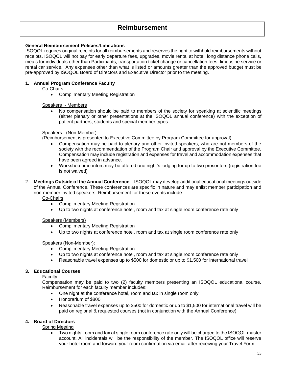## **Reimbursement**

## **General Reimbursement Policies/Limitations**

ISOQOL requires original receipts for all reimbursements and reserves the right to withhold reimbursements without receipts. ISOQOL will not pay for early departure fees, upgrades, movie rental at hotel, long distance phone calls, meals for individuals other than Participants, transportation ticket change or cancellation fees, limousine service or rental car service. Any expenses other than what is listed or amounts greater than the approved budget must be pre-approved by ISOQOL Board of Directors and Executive Director prior to the meeting.

## **1. Annual Program Conference Faculty**

Co-Chairs

• Complimentary Meeting Registration

#### Speakers - Members

• No compensation should be paid to members of the society for speaking at scientific meetings (either plenary or other presentations at the ISOQOL annual conference) with the exception of patient partners, students and special member types.

#### Speakers - (Non-Member)

(Reimbursement is presented to Executive Committee by Program Committee for approval)

- Compensation may be paid to plenary and other invited speakers, who are not members of the society with the recommendation of the Program Chair and approval by the Executive Committee. Compensation may include registration and expenses for travel and accommodation expenses that have been agreed in advance.
- Workshop presenters may be offered one night's lodging for up to two presenters (registration fee is not waived)
- 2. **Meetings Outside of the Annual Conference**  ISOQOL may develop additional educational meetings outside of the Annual Conference. These conferences are specific in nature and may enlist member participation and non-member invited speakers. Reimbursement for these events include:

Co-Chairs

- Complimentary Meeting Registration
- Up to two nights at conference hotel, room and tax at single room conference rate only

## Speakers (Members)

- Complimentary Meeting Registration
- Up to two nights at conference hotel, room and tax at single room conference rate only

## Speakers (Non-Member):

- Complimentary Meeting Registration
- Up to two nights at conference hotel, room and tax at single room conference rate only
- Reasonable travel expenses up to \$500 for domestic or up to \$1,500 for international travel

## **3. Educational Courses**

Faculty

Compensation may be paid to two (2) faculty members presenting an ISOQOL educational course. Reimbursement for each faculty member includes:

- One night at the conference hotel, room and tax in single room only
- Honorarium of \$800
- Reasonable travel expenses up to \$500 for domestic or up to \$1,500 for international travel will be paid on regional & requested courses (not in conjunction with the Annual Conference)

## **4. Board of Directors**

Spring Meeting

• Two nights' room and tax at single room conference rate only will be charged to the ISOQOL master account. All incidentals will be the responsibility of the member. The ISOQOL office will reserve your hotel room and forward your room confirmation via email after receiving your Travel Form.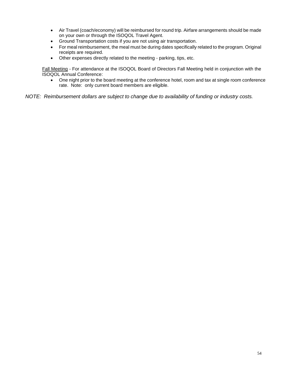- Air Travel (coach/economy) will be reimbursed for round trip. Airfare arrangements should be made on your own or through the ISOQOL Travel Agent.
- Ground Transportation costs if you are not using air transportation.<br>• For meal reimbursement, the meal must be during dates specifically
- For meal reimbursement, the meal must be during dates specifically related to the program. Original receipts are required.
- Other expenses directly related to the meeting parking, tips, etc.

Fall Meeting - For attendance at the ISOQOL Board of Directors Fall Meeting held in conjunction with the ISOQOL Annual Conference:

• One night prior to the board meeting at the conference hotel, room and tax at single room conference rate. Note: only current board members are eligible.

*NOTE: Reimbursement dollars are subject to change due to availability of funding or industry costs.*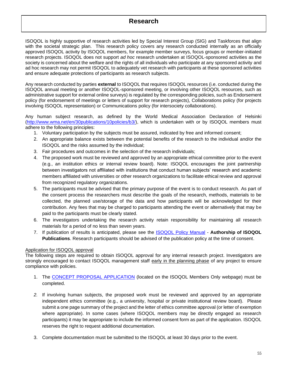ISOQOL is highly supportive of research activities led by Special Interest Group (SIG) and Taskforces that align with the societal strategic plan. This research policy covers any research conducted internally as an officially approved ISOQOL activity by ISOQOL members, for example member surveys, focus groups or member-initiated research projects. ISOQOL does not support *ad hoc* research undertaken at ISOQOL-sponsored activities as the society is concerned about the welfare and the rights of all individuals who participate at any sponsored activity and ad hoc research may not permit ISOQOL to adequately vet research with participants at these sponsored activities and ensure adequate protections of participants as research subjects.

Any research conducted by parties **external** to ISOQOL that requires ISOQOL resources (i.e. conducted during the ISOQOL annual meeting or another ISOQOL-sponsored meeting, or involving other ISOQOL resources, such as administrative support for external online surveys) is regulated by the corresponding policies, such as Endorsement policy (for endorsement of meetings or letters of support for research projects), Collaborations policy (for projects involving ISOQOL representation) or Communications policy (for intersociety collaborations).

Any human subject research, as defined by the World Medical Association Declaration of Helsinki [\(http://www.wma.net/en/30publications/10policies/b3/\)](http://www.wma.net/en/30publications/10policies/b3/), which is undertaken with or by ISOQOL members must adhere to the following principles:

- 1. Voluntary participation by the subjects must be assured, indicated by free and informed consent;
- 2. An appropriate balance exists between the potential benefits of the research to the individual and/or the ISOQOL and the risks assumed by the individual;
- 3. Fair procedures and outcomes in the selection of the research individuals;
- 4. The proposed work must be reviewed and approved by an appropriate ethical committee prior to the event (e.g., an institution ethics or internal review board). Note: ISOQOL encourages the joint partnership between investigators not affiliated with institutions that conduct human subjects' research and academic members affiliated with universities or other research organizations to facilitate ethical review and approval from recognized regulatory organizations.
- 5. The participants must be advised that the primary purpose of the event is to conduct research. As part of the consent process the researchers must describe the goals of the research, methods, materials to be collected, the planned use/storage of the data and how participants will be acknowledged for their contribution. Any fees that may be charged to participants attending the event or alternatively that may be paid to the participants must be clearly stated.
- 6. The investigators undertaking the research activity retain responsibility for maintaining all research materials for a period of no less than seven years.
- 7. If publication of results is anticipated, please see the [ISOQOL Policy Manual](http://www.isoqol.org/UserFiles/memberonlypage/ISOQOLPolicyManual-RevisedJune2015.pdf) **Authorship of ISOQOL Publications**. Research participants should be advised of the publication policy at the time of consent.

## Application for ISOQOL approval

The following steps are required to obtain ISOQOL approval for any internal research project. Investigators are strongly encouraged to contact ISOQOL management staff early in the planning phase of any project to ensure compliance with policies.

- 1. The [CONCEPT PROPOSAL APPLICATION](http://www.isoqol.org/UserFiles/memberonlypage/ISOQOLConceptProposalOutline.pdf) (located on the ISOQOL Members Only webpage) must be completed.
- *2.* If involving human subjects, the proposed work must be reviewed and approved by an appropriate independent ethics committee (e.g., a university, hospital or private institutional review board). Please submit a one page summary of the project and the letter of ethics committee approval (or letter of exemption where appropriate). In some cases (where ISOQOL members may be directly engaged as research participants) it may be appropriate to include the informed consent form as part of the application. ISOQOL reserves the right to request additional documentation.
- 3. Complete documentation must be submitted to the ISOQOL at least 30 days prior to the event.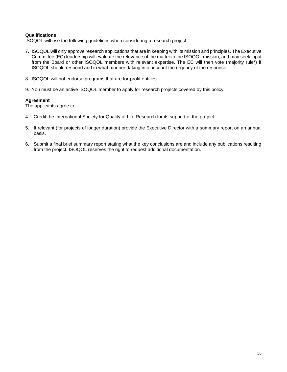## **Qualifications**

ISOQOL will use the following guidelines when considering a research project.

- 7. ISOQOL will only approve research applications that are in keeping with its mission and principles. The Executive Committee (EC) leadership will evaluate the relevance of the matter to the ISOQOL mission, and may seek input from the Board or other ISOQOL members with relevant expertise. The EC will then vote (majority rule\*) if ISOQOL should respond and in what manner, taking into account the urgency of the response.
- 8. ISOQOL will not endorse programs that are for-profit entities.
- 9. You must be an active ISOQOL member to apply for research projects covered by this policy.

## **Agreement**

The applicants agree to:

- 4. Credit the International Society for Quality of Life Research for its support of the project.
- 5. If relevant (for projects of longer duration) provide the Executive Director with a summary report on an annual basis.
- 6. Submit a final brief summary report stating what the key conclusions are and include any publications resulting from the project. ISOQOL reserves the right to request additional documentation.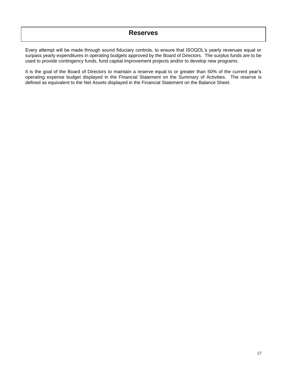Every attempt will be made through sound fiduciary controls, to ensure that ISOQOL's yearly revenues equal or surpass yearly expenditures in operating budgets approved by the Board of Directors. The surplus funds are to be used to provide contingency funds, fund capital improvement projects and/or to develop new programs.

It is the goal of the Board of Directors to maintain a reserve equal to or greater than 50% of the current year's operating expense budget displayed in the Financial Statement on the Summary of Activities. The reserve is defined as equivalent to the Net Assets displayed in the Financial Statement on the Balance Sheet.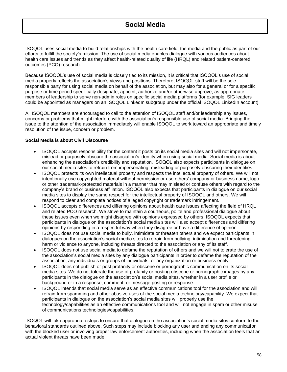ISOQOL uses social media to build relationships with the health care field, the media and the public as part of our efforts to fulfill the society's mission. The use of social media enables dialogue with various audiences about health care issues and trends as they affect health-related quality of life (HRQL) and related patient-centered outcomes (PCO) research.

Because ISOQOL's use of social media is closely tied to its mission, it is critical that ISOQOL's use of social media properly reflects the association's views and positions. Therefore, ISOQOL staff will be the sole responsible party for using social media on behalf of the association, but may also for a general or for a specific purpose or time period specifically designate, appoint, authorize and/or otherwise approve, as appropriate, members of leadership to serve non-admin roles on specific social media platforms (for example, SIG leaders could be appointed as managers on an ISOQOL LinkedIn subgroup under the official ISOQOL LinkedIn account).

All ISOQOL members are encouraged to call to the attention of ISOQOL staff and/or leadership any issues, concerns or problems that might interfere with the association's responsible use of social media. Bringing the issue to the attention of the association immediately will enable ISOQOL to work toward an appropriate and timely resolution of the issue, concern or problem.

## **Social Media is about Civil Discourse**

- ISOQOL accepts responsibility for the content it posts on its social media sites and will not impersonate, mislead or purposely obscure the association's identity when using social media. Social media is about enhancing the association's credibility and reputation. ISOQOL also expects participants in dialogue on our social media sites to refrain from impersonating, misleading or purposely obscuring their identities.
- ISOQOL protects its own intellectual property and respects the intellectual property of others. We will not intentionally use copyrighted material without permission or use others' company or business name, logo or other trademark-protected materials in a manner that may mislead or confuse others with regard to the company's brand or business affiliation. ISOQOL also expects that participants in dialogue on our social media sites to display the same respect for the intellectual property of ISOQOL and others. We will respond to clear and complete notices of alleged copyright or trademark infringement.
- ISOQOL accepts differences and differing opinions about health care issues affecting the field of HRQL and related PCO research. We strive to maintain a courteous, polite and professional dialogue about these issues even when we might disagree with opinions expressed by others. ISOQOL expects that participants in dialogue on the association's social media sites will also accept differences and differing opinions by responding in a respectful way when they disagree or have a difference of opinion.
- ISOQOL does not use social media to bully, intimidate or threaten others and we expect participants in dialogues on the association's social media sites to refrain from bullying, intimidation and threatening harm or violence to anyone, including threats directed to the association or any of its staff.
- ISOQOL does not use social media to defame the reputation of others and we will not tolerate the use of the association's social media sites by any dialogue participants in order to defame the reputation of the association, any individuals or groups of individuals, or any organization or business entity.
- ISOQOL does not publish or post profanity or obscene or pornographic communication on its social media sites. We do not tolerate the use of profanity or posting obscene or pornographic images by any participants in the dialogue on the association's social media sites, whether in a user profile or background or in a response, comment, or message posting or response.
- ISOQOL intends that social media serve as an effective communications tool for the association and will refrain from spamming and other abusive uses of the social media technology/capability. We expect that participants in dialogue on the association's social media sites will properly use the technology/capabilities as an effective communications tool and will not engage in spam or other misuse of communications technologies/capabilities.

ISOQOL will take appropriate steps to ensure that dialogue on the association's social media sites conform to the behavioral standards outlined above. Such steps may include blocking any user and ending any communication with the blocked user or involving proper law enforcement authorities, including when the association feels that an actual violent threats have been made.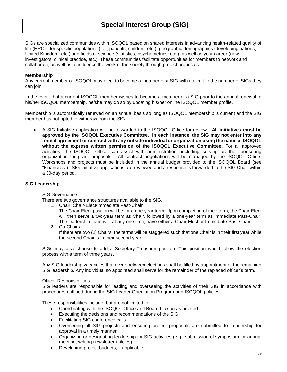SIGs are specialized communities within ISOQOL based on shared interests in advancing health-related quality of life (HRQL) for specific populations (i.e., patients, children, etc.), geographic demographics (developing nations, United Kingdom, etc.) and fields of science (statistics, psychometrics, etc.), as well as your career (new investigators, clinical practice, etc.). These communities facilitate opportunities for members to network and collaborate, as well as to influence the work of the society through project proposals.

## **Membership**

Any current member of ISOQOL may elect to become a member of a SIG with no limit to the number of SIGs they can join.

In the event that a current ISOQOL member wishes to become a member of a SIG prior to the annual renewal of his/her ISOQOL membership, he/she may do so by updating his/her online ISOQOL member profile.

Membership is automatically renewed on an annual basis so long as ISOQOL membership is current and the SIG member has not opted to withdraw from the SIG.

• A SIG Initiative application will be forwarded to the ISOQOL Office for review. **All initiatives must be approved by the ISOQOL Executive Committee. In each instance, the SIG may not enter into any formal agreement or contract with any outside individual or organization using the name of ISOQOL without the express written permission of the ISOQOL Executive Committee**. For all approved activities, the ISOQOL Office can assist with administration, including serving as the sponsoring organization for grant proposals. All contract negotiations will be managed by the ISOQOL Office. Workshops and projects must be included in the annual budget provided to the ISOQOL Board (see "Financials"). SIG Initiative applications are reviewed and a response is forwarded to the SIG Chair within a 30-day period.

### **SIG Leadership**

#### SIG Governance

There are two governance structures available to the SIG.

- 1. Chair, Chair-Elect/Immediate Past-Chair
	- The Chair-Elect position will be for a one-year term. Upon completion of their term, the Chair-Elect will then serve a two-year term as Chair, followed by a one-year term as Immediate Past-Chair. The leadership team will, at any one time, have either a Chair-Elect or Immediate Past-Chair.

2. Co-Chairs If there are two (2) Chairs, the terms will be staggered such that one Chair is in their first year while the second Chair is in their second year.

SIGs may also choose to add a Secretary-Treasurer position. This position would follow the election process with a term of three years.

Any SIG leadership vacancies that occur between elections shall be filled by appointment of the remaining SIG leadership. Any individual so appointed shall serve for the remainder of the replaced officer's term.

#### Officer Responsibilities

SIG leaders are responsible for leading and overseeing the activities of their SIG in accordance with procedures outlined during the SIG Leader Orientation Program and ISOQOL policies.

These responsibilities include, but are not limited to:

- Coordinating with the ISOQOL Office and Board Liaison as needed
- Executing the decisions and recommendations of the SIG
- Facilitating SIG conference calls
- Overseeing all SIG projects and ensuring project proposals are submitted to Leadership for approval in a timely manner
- Organizing or designating leadership for SIG activities (e.g., submission of symposium for annual meeting, writing newsletter articles)
- Developing project budgets, if applicable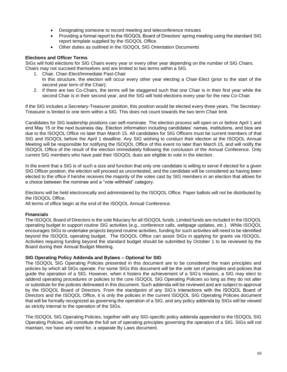- Designating someone to record meeting and teleconference minutes
- Providing a formal report to the ISOQOL Board of Directors' spring meeting using the standard SIG report template supplied by the ISOQOL Office.
- Other duties as outlined in the ISOQOL SIG Orientation Documents

## **Elections and Officer Terms**

SIGs will hold elections for SIG Chairs every year or every other year depending on the number of SIG Chairs. Chairs may not succeed themselves and are limited to two terms within a SIG.

- 1. Chair, Chair-Elect/Immediate Past-Chair
	- In this structure, the election will occur every other year electing a Chair-Elect (prior to the start of the second year term of the Chair);
- 2. If there are two Co-Chairs, the terms will be staggered such that one Chair is in their first year while the second Chair is in their second year, and the SIG will hold elections every year for the new Co-Chair.

If the SIG includes a Secretary-Treasurer position, this position would be elected every three years. The Secretary-Treasurer is limited to one term within a SIG. This does not count towards the two term Chair limit.

Candidates for SIG leadership positions can self-nominate. The election process will open on or before April 1 and end May 15 or the next business day. Election information including candidates' names, institutions, and bios are due to the ISOQOL Office no later than March 15. All candidates for SIG Officers must be current members of that SIG and ISOQOL before the April 1 deadline. Any SIG wishing to conduct their election at the ISOQOL Annual Meeting will be responsible for notifying the ISOQOL Office of this event no later than March 15, and will notify the ISOQOL Office of the result of the election immediately following the conclusion of the Annual Conference. Only current SIG members who have paid their ISOQOL dues are eligible to vote in the election.

In the event that a SIG is of such a size and function that only one candidate is willing to serve if elected for a given SIG Officer position, the election will proceed as uncontested, and the candidate will be considered as having been elected to the office if he/she receives the majority of the votes cast by SIG members in an election that allows for a choice between the nominee and a "vote withheld" category.

Elections will be held electronically and administered by the ISOQOL Office. Paper ballots will not be distributed by the ISOQOL Office.

All terms of office begin at the end of the ISOQOL Annual Conference.

#### **Financials**

The ISOQOL Board of Directors is the sole fiduciary for all ISOQOL funds. Limited funds are included in the ISOQOL operating budget to support routine SIG activities (e.g., conference calls, webpage updates, etc.). While ISOQOL encourages SIGs to undertake projects beyond routine activities, funding for such activities will need to be identified beyond the ISOQOL operating budget. The ISOQOL Office can assist SIGs in applying for grants via ISOQOL. Activities requiring funding beyond the standard budget should be submitted by October 1 to be reviewed by the Board during their Annual Budget Meeting.

#### **SIG Operating Policy Addenda and Bylaws – Optional for SIG**

The ISOQOL SIG Operating Policies presented in this document are to be considered the main principles and policies by which all SIGs operate. For some SIGs this document will be the sole set of principles and policies that guide the operation of a SIG. However, when it fosters the achievement of a SIG's mission, a SIG may elect to addend operating procedures or policies to the core ISOQOL SIG Operating Policies so long as they do not alter or substitute for the policies delineated in this document. Such addenda will be reviewed and are subject to approval by the ISOQOL Board of Directors. From the standpoint of any SIG's interactions with the ISOQOL Board of Directors and the ISOQOL Office, it is only the policies in the current ISOQOL SIG Operating Policies document that will be formally recognized as governing the operation of a SIG, and any policy addenda by SIGs will be viewed as strictly internal to the operation of the SIGs.

The ISOQOL SIG Operating Policies, together with any SIG-specific policy addenda appended to the ISOQOL SIG Operating Policies, will constitute the full set of operating principles governing the operation of a SIG. SIGs will not maintain, nor have any need for, a separate By Laws document.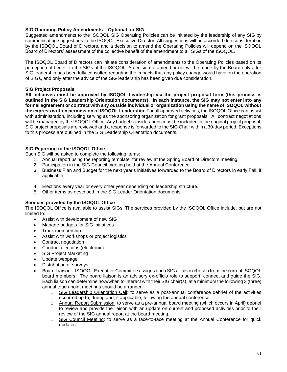## **SIG Operating Policy Amendments – Optional for SIG**

Suggested amendments to the ISOQOL SIG Operating Policies can be initiated by the leadership of any SIG by communicating suggestions to the ISOQOL Executive Director. All suggestions will be accorded due consideration by the ISOQOL Board of Directors, and a decision to amend the Operating Policies will depend on the ISOQOL Board of Directors' assessment of the collective benefit of the amendment to all SIGs of the ISOQOL.

The ISOQOL Board of Directors can initiate consideration of amendments to the Operating Policies based on its perception of benefit to the SIGs of the ISOQOL. A decision to amend or not will be made by the Board only after SIG leadership has been fully consulted regarding the impacts that any policy change would have on the operation of SIGs, and only after the advice of the SIG leadership has been given due consideration.

## **SIG Project Proposals**

**All initiatives must be approved by ISOQOL Leadership via the project proposal form (this process is outlined in the SIG Leadership Orientation documents). In each instance, the SIG may not enter into any formal agreement or contract with any outside individual or organization using the name of ISOQOL without the express written permission of ISOQOL Leadership**. For all approved activities, the ISOQOL Office can assist with administration, including serving as the sponsoring organization for grant proposals. All contract negotiations will be managed by the ISOQOL Office. Any budget considerations must be included in the original project proposal. SIG project proposals are reviewed and a response is forwarded to the SIG Chair within a 30-day period. Exceptions to this process are outlined in the SIG Leadership Orientation documents.

## **SIG Reporting to the ISOQOL Office**

Each SIG will be asked to complete the following items:

- 1. Annual report using the reporting template, for review at the Spring Board of Directors meeting.
- 2. Participation in the SIG Council meeting held at the Annual Conference.
- 3. Business Plan and Budget for the next year's initiatives forwarded to the Board of Directors in early Fall, if applicable.
- 4. Elections every year or every other year depending on leadership structure.
- 5. Other items as described in the SIG Leader Orientation documents.

## **Services provided by the ISOQOL Office**

The ISOQOL Office is available to assist SIGs. The services provided by the ISOQOL Office include, but are not limited to:

- Assist with development of new SIG
- Manage budgets for SIG initiatives
- Track membership
- Assist with workshops or project logistics
- Contract negotiation
- Conduct elections (electronic)
- **SIG Project Marketing**
- Update webpage
- Distribution of surveys
- Board Liaison ISOQOL Executive Committee assigns each SIG a liaison chosen from the current ISOQOL board members. The board liaison is an advisory ex-officio role to support, connect and guide the SIG. Each liaison can determine how/when to interact with their SIG chair(s), at a minimum the following 3 (three) annual touch-point meetings should be arranged:
	- o SIG Leadership Orientation Call: to serve as a post-annual conference debrief of the activities occurred up to, during and, if applicable, following the annual conference.
	- o Annual Report Submission: to serve as a pre-annual board meeting (which occurs in April) debrief to review and provide the liaison with an update on current and proposed activities prior to their review of the SIG annual report at the board meeting.
	- $\circ$  SIG Council Meeting: to serve as a face-to-face meeting at the Annual Conference for quick updates.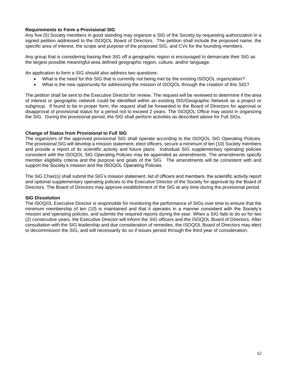## **Requirements to Form a Provisional SIG**

Any five (5) Society members in good standing may organize a SIG of the Society by requesting authorization in a signed petition addressed to the ISOQOL Board of Directors. The petition shall include the proposed name, the specific area of interest, the scope and purpose of the proposed SIG, and CVs for the founding members.

Any group that is considering basing their SIG off a geographic region is encouraged to demarcate their SIG as the largest possible meaningful area defined geographic region, culture, and/or language.

An application to form a SIG should also address two questions:

- What is the need for this SIG that is currently not being met by the existing ISOQOL organization?
- What is the new opportunity for addressing the mission of ISOQOL through the creation of this SIG?

The petition shall be sent to the Executive Director for review. The request will be reviewed to determine if the area of interest or geographic network could be identified within an existing SIG/Geographic Network as a project or subgroup. If found to be in proper form, the request shall be forwarded to the Board of Directors for approval or disapproval of provisional status for a period not to exceed 2 years. The ISOQOL Office may assist in organizing the SIG. During the provisional period, the SIG shall perform activities as described above for Full SIGs.

## **Change of Status from Provisional to Full SIG**

The organizers of the approved provisional SIG shall operate according to the ISOQOL SIG Operating Policies. The provisional SIG will develop a mission statement, elect officers, secure a minimum of ten (10) Society members and provide a report of its scientific activity and future plans. Individual SIG supplementary operating policies consistent with the ISOQOL SIG Operating Policies may be appended as amendments. The amendments specify member eligibility criteria and the purpose and goals of the SIG. The amendments will be consistent with and support the Society's mission and the ISOQOL Operating Policies.

The SIG Chair(s) shall submit the SIG's mission statement, list of officers and members, the scientific activity report and optional supplementary operating policies to the Executive Director of the Society for approval by the Board of Directors. The Board of Directors may approve establishment of the SIG at any time during the provisional period.

#### **SIG Dissolution**

The ISOQOL Executive Director is responsible for monitoring the performance of SIGs over time to ensure that the minimum membership of ten (10) is maintained and that it operates in a manner consistent with the Society's mission and operating policies, and submits the required reports during the year. When a SIG fails to do so for two (2) consecutive years, the Executive Director will inform the SIG officers and the ISOQOL Board of Directors. After consultation with the SIG leadership and due consideration of remedies, the ISOQOL Board of Directors may elect to decommission the SIG, and will necessarily do so if issues persist through the third year of consideration.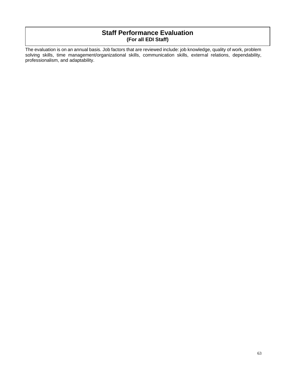## **Staff Performance Evaluation (For all EDI Staff)**

The evaluation is on an annual basis. Job factors that are reviewed include: job knowledge, quality of work, problem solving skills, time management/organizational skills, communication skills, external relations, dependability, professionalism, and adaptability.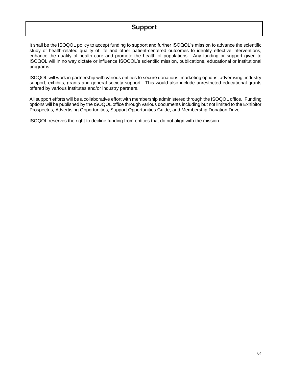# **Support**

It shall be the ISOQOL policy to accept funding to support and further ISOQOL's mission to advance the scientific study of health-related quality of life and other patient-centered outcomes to identify effective interventions, enhance the quality of health care and promote the health of populations. Any funding or support given to ISOQOL will in no way dictate or influence ISOQOL's scientific mission, publications, educational or institutional programs*.* 

ISOQOL will work in partnership with various entities to secure donations, marketing options, advertising, industry support, exhibits, grants and general society support. This would also include unrestricted educational grants offered by various institutes and/or industry partners.

All support efforts will be a collaborative effort with membership administered through the ISOQOL office. Funding options will be published by the ISOQOL office through various documents including but not limited to the Exhibitor Prospectus, Advertising Opportunities, Support Opportunities Guide, and Membership Donation Drive

ISOQOL reserves the right to decline funding from entities that do not align with the mission.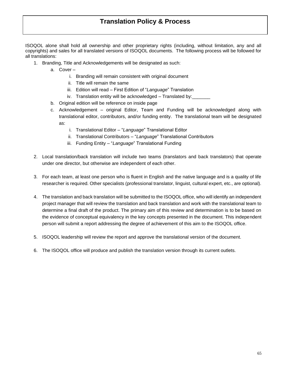ISOQOL alone shall hold all ownership and other proprietary rights (including, without limitation, any and all copyrights) and sales for all translated versions of ISOQOL documents. The following process will be followed for all translations:

- 1. Branding, Title and Acknowledgements will be designated as such:
	- a. Cover
		- i. Branding will remain consistent with original document
		- ii. Title will remain the same
		- iii. Edition will read First Edition of "*Language*" Translation
		- iv. Translation entity will be acknowledged Translated by:
	- b. Original edition will be reference on inside page
	- c. Acknowledgement original Editor, Team and Funding will be acknowledged along with translational editor, contributors, and/or funding entity. The translational team will be designated as:
		- i. Translational Editor "*Language*" Translational Editor
		- ii. Translational Contributors "*Language*" Translational Contributors
		- iii. Funding Entity "*Language*" Translational Funding
- 2. Local translation/back translation will include two teams (translators and back translators) that operate under one director, but otherwise are independent of each other.
- 3. For each team, at least one person who is fluent in English and the native language and is a quality of life researcher is required. Other specialists (professional translator, linguist, cultural expert, etc., are optional).
- 4. The translation and back translation will be submitted to the ISOQOL office, who will identify an independent project manager that will review the translation and back translation and work with the translational team to determine a final draft of the product. The primary aim of this review and determination is to be based on the evidence of conceptual equivalency in the key concepts presented in the document. This independent person will submit a report addressing the degree of achievement of this aim to the ISOQOL office.
- 5. ISOQOL leadership will review the report and approve the translational version of the document.
- 6. The ISOQOL office will produce and publish the translation version through its current outlets.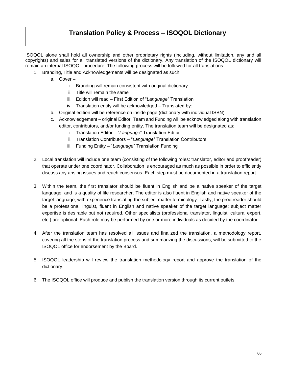# **Translation Policy & Process – ISOQOL Dictionary**

ISOQOL alone shall hold all ownership and other proprietary rights (including, without limitation, any and all copyrights) and sales for all translated versions of the dictionary. Any translation of the ISOQOL dictionary will remain an internal ISOQOL procedure. The following process will be followed for all translations:

- 1. Branding, Title and Acknowledgements will be designated as such:
	- a. Cover
		- i. Branding will remain consistent with original dictionary
		- ii. Title will remain the same
		- iii. Edition will read First Edition of "*Language*" Translation
		- iv. Translation entity will be acknowledged Translated by:
	- b. Original edition will be reference on inside page (dictionary with individual ISBN)
	- c. Acknowledgement original Editor, Team and Funding will be acknowledged along with translation editor, contributors, and/or funding entity. The translation team will be designated as:
		- i. Translation Editor "*Language*" Translation Editor
		- ii. Translation Contributors "*Language*" Translation Contributors
		- iii. Funding Entity "*Language*" Translation Funding
- 2. Local translation will include one team (consisting of the following roles: translator, editor and proofreader) that operate under one coordinator. Collaboration is encouraged as much as possible in order to efficiently discuss any arising issues and reach consensus. Each step must be documented in a translation report.
- 3. Within the team, the first translator should be fluent in English and be a native speaker of the target language, and is a quality of life researcher. The editor is also fluent in English and native speaker of the target language, with experience translating the subject matter terminology. Lastly, the proofreader should be a professional linguist, fluent in English and native speaker of the target language; subject matter expertise is desirable but not required. Other specialists (professional translator, linguist, cultural expert, etc.) are optional. Each role may be performed by one or more individuals as decided by the coordinator.
- 4. After the translation team has resolved all issues and finalized the translation, a methodology report, covering all the steps of the translation process and summarizing the discussions, will be submitted to the ISOQOL office for endorsement by the Board.
- 5. ISOQOL leadership will review the translation methodology report and approve the translation of the dictionary.
- 6. The ISOQOL office will produce and publish the translation version through its current outlets.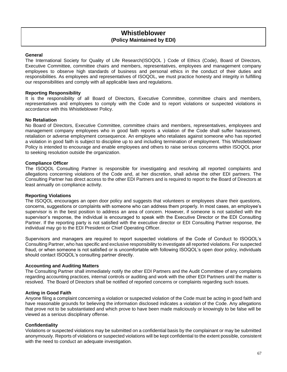## **Whistleblower (Policy Maintained by EDI)**

#### **General**

The International Society for Quality of Life Research(ISOQOL ) Code of Ethics (Code), Board of Directors, Executive Committee, committee chairs and members, representatives, employees and management company employees to observe high standards of business and personal ethics in the conduct of their duties and responsibilities. As employees and representatives of ISOQOL, we must practice honesty and integrity in fulfilling our responsibilities and comply with all applicable laws and regulations.

#### **Reporting Responsibility**

It is the responsibility of all Board of Directors, Executive Committee, committee chairs and members, representatives and employees to comply with the Code and to report violations or suspected violations in accordance with this Whistleblower Policy.

#### **No Retaliation**

No Board of Directors, Executive Committee, committee chairs and members, representatives, employees and management company employees who in good faith reports a violation of the Code shall suffer harassment, retaliation or adverse employment consequence. An employee who retaliates against someone who has reported a violation in good faith is subject to discipline up to and including termination of employment. This Whistleblower Policy is intended to encourage and enable employees and others to raise serious concerns within ISOQOL prior to seeking resolution outside the organization.

#### **Compliance Officer**

The ISOQOL Consulting Partner is responsible for investigating and resolving all reported complaints and allegations concerning violations of the Code and, at her discretion, shall advise the other EDI partners. The Consulting Partner has direct access to the other EDI Partners and is required to report to the Board of Directors at least annually on compliance activity.

#### **Reporting Violations**

The ISOQOL encourages an open door policy and suggests that volunteers or employees share their questions, concerns, suggestions or complaints with someone who can address them properly. In most cases, an employee's supervisor is in the best position to address an area of concern. However, if someone is not satisfied with the supervisor's response, the individual is encouraged to speak with the Executive Director or the EDI Consulting Partner. If the reporting party is not satisfied with the executive director or EDI Consulting Partner response, the individual may go to the EDI President or Chief Operating Officer.

Supervisors and managers are required to report suspected violations of the Code of Conduct to ISOQOL's Consulting Partner, who has specific and exclusive responsibility to investigate all reported violations. For suspected fraud, or when someone is not satisfied or is uncomfortable with following ISOQOL's open door policy, individuals should contact ISOQOL's consulting partner directly.

#### **Accounting and Auditing Matters**

The Consulting Partner shall immediately notify the other EDI Partners and the Audit Committee of any complaints regarding accounting practices, internal controls or auditing and work with the other EDI Partners until the matter is resolved. The Board of Directors shall be notified of reported concerns or complaints regarding such issues.

#### **Acting in Good Faith**

Anyone filing a complaint concerning a violation or suspected violation of the Code must be acting in good faith and have reasonable grounds for believing the information disclosed indicates a violation of the Code. Any allegations that prove not to be substantiated and which prove to have been made maliciously or knowingly to be false will be viewed as a serious disciplinary offense.

#### **Confidentiality**

Violations or suspected violations may be submitted on a confidential basis by the complainant or may be submitted anonymously. Reports of violations or suspected violations will be kept confidential to the extent possible, consistent with the need to conduct an adequate investigation.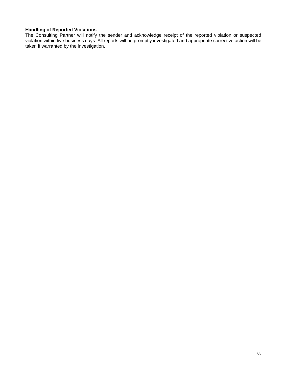## **Handling of Reported Violations**

The Consulting Partner will notify the sender and acknowledge receipt of the reported violation or suspected violation within five business days. All reports will be promptly investigated and appropriate corrective action will be taken if warranted by the investigation.